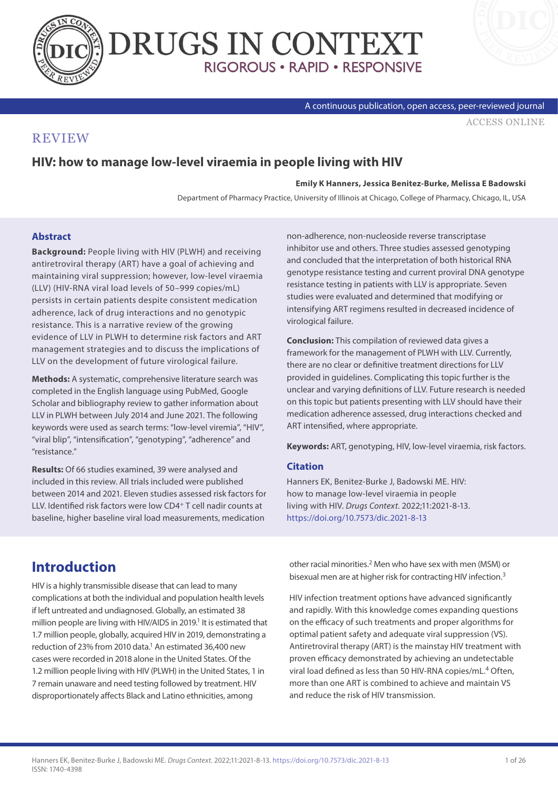



A continuous publication, open access, peer-reviewed journal

[ACCESS ONLINE](https://www.drugsincontext.com/hiv-how-to-manage-low-level-viraemia-in-people-living-with-hiv)

### **REVIEW**

## **HIV: how to manage low-level viraemia in people living with HIV**

#### **Emily K Hanners, Jessica Benitez-Burke, Melissa E Badowski**

Department of Pharmacy Practice, University of Illinois at Chicago, College of Pharmacy, Chicago, IL, USA

#### **Abstract**

**Background:** People living with HIV (PLWH) and receiving antiretroviral therapy (ART) have a goal of achieving and maintaining viral suppression; however, low-level viraemia (LLV) (HIV-RNA viral load levels of 50–999 copies/mL) persists in certain patients despite consistent medication adherence, lack of drug interactions and no genotypic resistance. This is a narrative review of the growing evidence of LLV in PLWH to determine risk factors and ART management strategies and to discuss the implications of LLV on the development of future virological failure.

**Methods:** A systematic, comprehensive literature search was completed in the English language using PubMed, Google Scholar and bibliography review to gather information about LLV in PLWH between July 2014 and June 2021. The following keywords were used as search terms: "low-level viremia", "HIV", "viral blip", "intensification", "genotyping", "adherence" and "resistance."

**Results:** Of 66 studies examined, 39 were analysed and included in this review. All trials included were published between 2014 and 2021. Eleven studies assessed risk factors for LLV. Identified risk factors were low CD4+ T cell nadir counts at baseline, higher baseline viral load measurements, medication

non-adherence, non-nucleoside reverse transcriptase inhibitor use and others. Three studies assessed genotyping and concluded that the interpretation of both historical RNA genotype resistance testing and current proviral DNA genotype resistance testing in patients with LLV is appropriate. Seven studies were evaluated and determined that modifying or intensifying ART regimens resulted in decreased incidence of virological failure.

**Conclusion:** This compilation of reviewed data gives a framework for the management of PLWH with LLV. Currently, there are no clear or definitive treatment directions for LLV provided in guidelines. Complicating this topic further is the unclear and varying definitions of LLV. Future research is needed on this topic but patients presenting with LLV should have their medication adherence assessed, drug interactions checked and ART intensified, where appropriate.

**Keywords:** ART, genotyping, HIV, low-level viraemia, risk factors.

#### **Citation**

Hanners EK, Benitez-Burke J, Badowski ME. HIV: how to manage low-level viraemia in people living with HIV. *Drugs Context*. 2022;11:2021-8-13. <https://doi.org/10.7573/dic.2021-8-13>

## **Introduction**

HIV is a highly transmissible disease that can lead to many complications at both the individual and population health levels if left untreated and undiagnosed. Globally, an estimated 38 million people are living with HIV/AIDS in 2019.<sup>1</sup> It is estimated that 1.7 million people, globally, acquired HIV in 2019, demonstrating a reduction of 23% from 2010 data.<sup>1</sup> An estimated 36,400 new cases were recorded in 2018 alone in the United States. Of the 1.2 million people living with HIV (PLWH) in the United States, 1 in 7 remain unaware and need testing followed by treatment. HIV disproportionately affects Black and Latino ethnicities, among

other racial minorities.<sup>2</sup> Men who have sex with men (MSM) or bisexual men are at higher risk for contracting HIV infection.3

HIV infection treatment options have advanced significantly and rapidly. With this knowledge comes expanding questions on the efficacy of such treatments and proper algorithms for optimal patient safety and adequate viral suppression (VS). Antiretroviral therapy (ART) is the mainstay HIV treatment with proven efficacy demonstrated by achieving an undetectable viral load defined as less than 50 HIV-RNA copies/mL.4 Often, more than one ART is combined to achieve and maintain VS and reduce the risk of HIV transmission.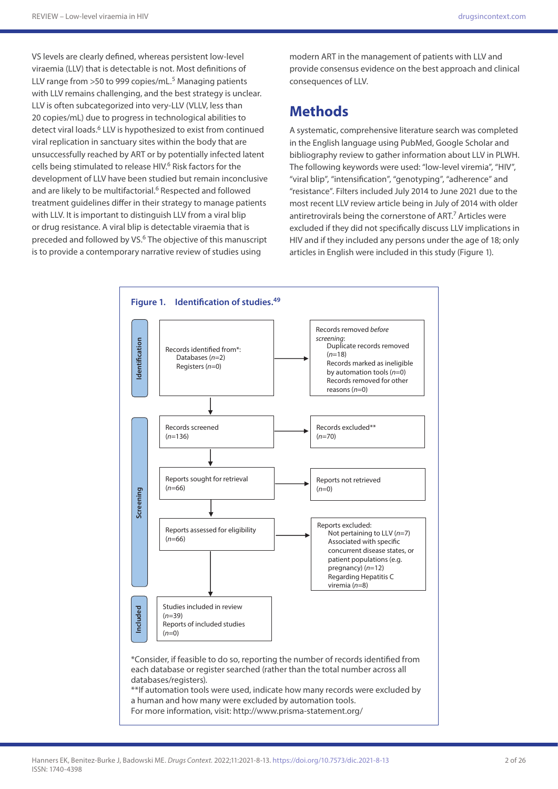VS levels are clearly defined, whereas persistent low-level viraemia (LLV) that is detectable is not. Most definitions of LLV range from  $>50$  to 999 copies/mL.<sup>5</sup> Managing patients with LLV remains challenging, and the best strategy is unclear. LLV is often subcategorized into very-LLV (VLLV, less than 20 copies/mL) due to progress in technological abilities to detect viral loads.<sup>6</sup> LLV is hypothesized to exist from continued viral replication in sanctuary sites within the body that are unsuccessfully reached by ART or by potentially infected latent cells being stimulated to release HIV.6 Risk factors for the development of LLV have been studied but remain inconclusive and are likely to be multifactorial.<sup>6</sup> Respected and followed treatment guidelines differ in their strategy to manage patients with LLV. It is important to distinguish LLV from a viral blip or drug resistance. A viral blip is detectable viraemia that is preceded and followed by VS.6 The objective of this manuscript is to provide a contemporary narrative review of studies using

modern ART in the management of patients with LLV and provide consensus evidence on the best approach and clinical consequences of LLV.

## **Methods**

A systematic, comprehensive literature search was completed in the English language using PubMed, Google Scholar and bibliography review to gather information about LLV in PLWH. The following keywords were used: "low-level viremia", "HIV", "viral blip", "intensification", "genotyping", "adherence" and "resistance". Filters included July 2014 to June 2021 due to the most recent LLV review article being in July of 2014 with older antiretrovirals being the cornerstone of ART.<sup>7</sup> Articles were excluded if they did not specifically discuss LLV implications in HIV and if they included any persons under the age of 18; only articles in English were included in this study (Figure 1).

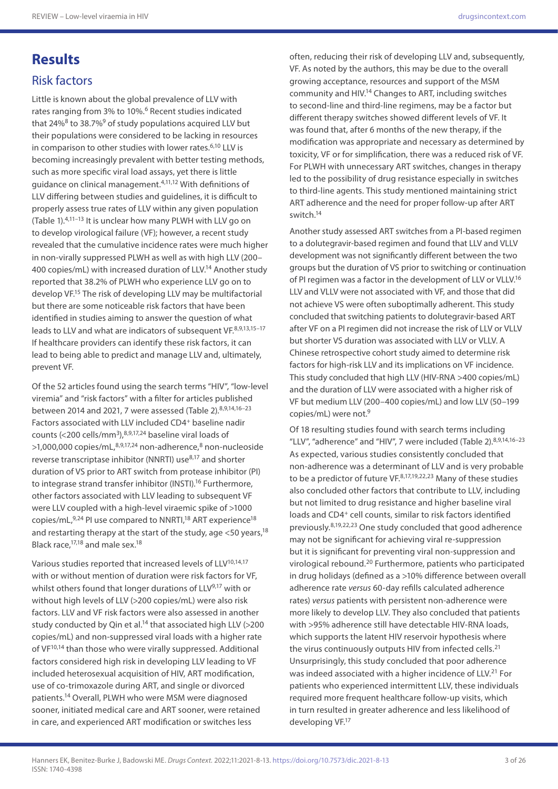# **Results**

### Risk factors

Little is known about the global prevalence of LLV with rates ranging from 3% to 10%.6 Recent studies indicated that 24% $8$  to 38.7% $9$  of study populations acquired LLV but their populations were considered to be lacking in resources in comparison to other studies with lower rates.<sup>6,10</sup> LLV is becoming increasingly prevalent with better testing methods, such as more specific viral load assays, yet there is little guidance on clinical management.<sup>4,11,12</sup> With definitions of LLV differing between studies and guidelines, it is difficult to properly assess true rates of LLV within any given population (Table 1).4,11–13 It is unclear how many PLWH with LLV go on to develop virological failure (VF); however, a recent study revealed that the cumulative incidence rates were much higher in non-virally suppressed PLWH as well as with high LLV (200– 400 copies/mL) with increased duration of LLV.<sup>14</sup> Another study reported that 38.2% of PLWH who experience LLV go on to develop VF.15 The risk of developing LLV may be multifactorial but there are some noticeable risk factors that have been identified in studies aiming to answer the question of what leads to LLV and what are indicators of subsequent VF.8,9,13,15-17 If healthcare providers can identify these risk factors, it can lead to being able to predict and manage LLV and, ultimately, prevent VF.

Of the 52 articles found using the search terms "HIV", "low-level viremia" and "risk factors" with a filter for articles published between 2014 and 2021, 7 were assessed (Table 2).<sup>8,9,14,16-23</sup> Factors associated with LLV included CD4+ baseline nadir counts (<200 cells/mm3),8,9,17,24 baseline viral loads of  $>1.000.000$  copies/mL, $8,9,17,24$  non-adherence, $8$  non-nucleoside reverse transcriptase inhibitor (NNRTI) use<sup>8,17</sup> and shorter duration of VS prior to ART switch from protease inhibitor (PI) to integrase strand transfer inhibitor (INSTI).<sup>16</sup> Furthermore, other factors associated with LLV leading to subsequent VF were LLV coupled with a high-level viraemic spike of >1000 copies/mL $,9,24$  PI use compared to NNRTI,<sup>18</sup> ART experience<sup>18</sup> and restarting therapy at the start of the study, age  $<$  50 years,  $18$ Black race,17,18 and male sex.18

Various studies reported that increased levels of LLV<sup>10,14,17</sup> with or without mention of duration were risk factors for VF, whilst others found that longer durations of LLV<sup>9,17</sup> with or without high levels of LLV (>200 copies/mL) were also risk factors. LLV and VF risk factors were also assessed in another study conducted by Qin et al.<sup>14</sup> that associated high LLV (>200 copies/mL) and non-suppressed viral loads with a higher rate of VF<sup>10,14</sup> than those who were virally suppressed. Additional factors considered high risk in developing LLV leading to VF included heterosexual acquisition of HIV, ART modification, use of co-trimoxazole during ART, and single or divorced patients.14 Overall, PLWH who were MSM were diagnosed sooner, initiated medical care and ART sooner, were retained in care, and experienced ART modification or switches less

often, reducing their risk of developing LLV and, subsequently, VF. As noted by the authors, this may be due to the overall growing acceptance, resources and support of the MSM community and HIV.14 Changes to ART, including switches to second-line and third-line regimens, may be a factor but different therapy switches showed different levels of VF. It was found that, after 6 months of the new therapy, if the modification was appropriate and necessary as determined by toxicity, VF or for simplification, there was a reduced risk of VF. For PLWH with unnecessary ART switches, changes in therapy led to the possibility of drug resistance especially in switches to third-line agents. This study mentioned maintaining strict ART adherence and the need for proper follow-up after ART switch.14

Another study assessed ART switches from a PI-based regimen to a dolutegravir-based regimen and found that LLV and VLLV development was not significantly different between the two groups but the duration of VS prior to switching or continuation of PI regimen was a factor in the development of LLV or VLLV.16 LLV and VLLV were not associated with VF, and those that did not achieve VS were often suboptimally adherent. This study concluded that switching patients to dolutegravir-based ART after VF on a PI regimen did not increase the risk of LLV or VLLV but shorter VS duration was associated with LLV or VLLV. A Chinese retrospective cohort study aimed to determine risk factors for high-risk LLV and its implications on VF incidence. This study concluded that high LLV (HIV-RNA >400 copies/mL) and the duration of LLV were associated with a higher risk of VF but medium LLV (200–400 copies/mL) and low LLV (50–199 copies/mL) were not.9

Of 18 resulting studies found with search terms including "LLV", "adherence" and "HIV", 7 were included (Table 2).<sup>8,9,14,16-23</sup> As expected, various studies consistently concluded that non-adherence was a determinant of LLV and is very probable to be a predictor of future  $VF<sub>.8,17,19,22,23</sub>$  Many of these studies also concluded other factors that contribute to LLV, including but not limited to drug resistance and higher baseline viral loads and CD4<sup>+</sup> cell counts, similar to risk factors identified previously.8,19,22,23 One study concluded that good adherence may not be significant for achieving viral re-suppression but it is significant for preventing viral non-suppression and virological rebound.20 Furthermore, patients who participated in drug holidays (defined as a >10% difference between overall adherence rate *versus* 60-day refills calculated adherence rates) *versus* patients with persistent non-adherence were more likely to develop LLV. They also concluded that patients with >95% adherence still have detectable HIV-RNA loads, which supports the latent HIV reservoir hypothesis where the virus continuously outputs HIV from infected cells.<sup>21</sup> Unsurprisingly, this study concluded that poor adherence was indeed associated with a higher incidence of LLV.<sup>21</sup> For patients who experienced intermittent LLV, these individuals required more frequent healthcare follow-up visits, which in turn resulted in greater adherence and less likelihood of developing VF.17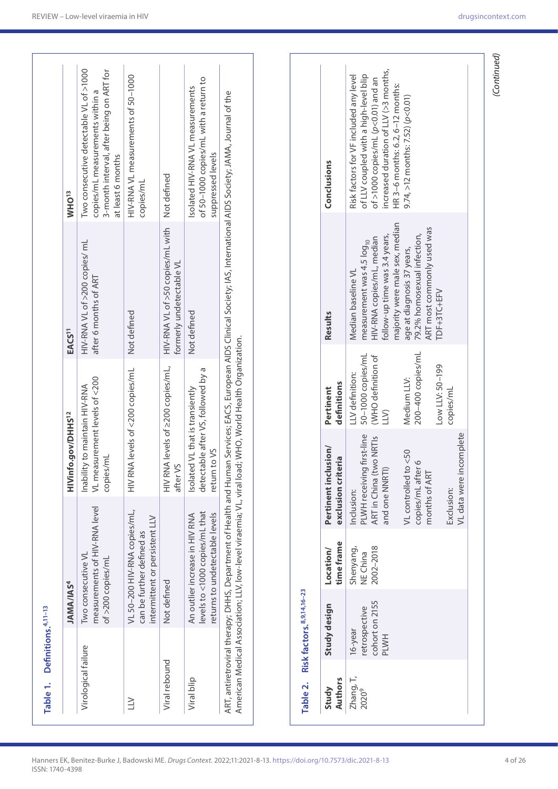| Table 1.                       | Definitions. <sup>4,11-13</sup>                                  |                                                                                                    |                                                                                                                                                    |                                                                                                                             |                                                                                                                                                                                                                                                                       |                                                                                                                                                                                                                                                |
|--------------------------------|------------------------------------------------------------------|----------------------------------------------------------------------------------------------------|----------------------------------------------------------------------------------------------------------------------------------------------------|-----------------------------------------------------------------------------------------------------------------------------|-----------------------------------------------------------------------------------------------------------------------------------------------------------------------------------------------------------------------------------------------------------------------|------------------------------------------------------------------------------------------------------------------------------------------------------------------------------------------------------------------------------------------------|
|                                | <b>JAMA/IAS<sup>4</sup></b>                                      |                                                                                                    | HIVinfo.gov/DHHS <sup>12</sup>                                                                                                                     |                                                                                                                             | EACS <sup>11</sup>                                                                                                                                                                                                                                                    | WHO <sup>13</sup>                                                                                                                                                                                                                              |
| Virological failure            |                                                                  | measurements of HIV-RNA level<br>Two consecutive VL<br>of >200 copies/mL                           | VL measurement levels of <200<br>Inability to maintain HIV-RNA<br>copies/mL                                                                        |                                                                                                                             | HIV-RNA VL of >200 copies/ mL<br>after 6 months of ART                                                                                                                                                                                                                | Two consecutive detectable VL of >1000<br>3-month interval, after being on ART for<br>copies/mL measurements within a<br>at least 6 months                                                                                                     |
| $\geq$                         |                                                                  | VL 50-200 HIV-RNA copies/mL,<br>intermittent or persistent LLV<br>can be further defined as        | $\geq$                                                                                                                                             | RNA levels of <200 copies/mL                                                                                                | Not defined                                                                                                                                                                                                                                                           | HIV-RNA VL measurements of 50-1000<br>copies/mL                                                                                                                                                                                                |
| Viral rebound                  | Not defined                                                      |                                                                                                    | after VS<br>$\geq$<br>$\equiv$                                                                                                                     | RNA levels of 2200 copies/mL,                                                                                               | HIV-RNA VL of >50 copies/mL with<br>formerly undetectable VL                                                                                                                                                                                                          | Not defined                                                                                                                                                                                                                                    |
| Viral blip                     |                                                                  | levels to <1000 copies/mL that<br>returns to undetectable levels<br>An outlier increase in HIV RNA | detectable after VS, followed by a<br>Isolated VL that is transiently<br>return to VS                                                              |                                                                                                                             | Not defined                                                                                                                                                                                                                                                           | of 50-1000 copies/mL with a return to<br>Isolated HIV-RNA VL measurements<br>suppressed levels                                                                                                                                                 |
|                                | American Medical Association; LLV, low-level viraemia; VL, viral |                                                                                                    |                                                                                                                                                    | load; WHO, World Health Organization.                                                                                       | ART, antiretroviral therapy: DHHS, Department of Health and Human Services; EACS, European AIDS Glinical Society; IAS, International AIDS Society; JAMA, Journal of the                                                                                               |                                                                                                                                                                                                                                                |
|                                |                                                                  |                                                                                                    |                                                                                                                                                    |                                                                                                                             |                                                                                                                                                                                                                                                                       |                                                                                                                                                                                                                                                |
| Table 2.                       | Risk factors, 8,9,14,16-23                                       |                                                                                                    |                                                                                                                                                    |                                                                                                                             |                                                                                                                                                                                                                                                                       |                                                                                                                                                                                                                                                |
| Authors<br>Study               | Study design                                                     | time frame<br>Location/                                                                            | Pertinent inclusion/<br>exclusion criteria                                                                                                         | definitions<br>Pertinent                                                                                                    | Results                                                                                                                                                                                                                                                               | Conclusions                                                                                                                                                                                                                                    |
| Zhang, T,<br>2020 <sup>9</sup> | cohort on 2155<br>retrospective<br>16-year<br><b>PLWH</b>        | 2002-2018<br>Shenyang,<br>NE China                                                                 | PLWH receiving first-line<br>ART in China (two NRTIs<br>VL controlled to <50<br>copies/mL after 6<br>and one NNRTI)<br>months of ART<br>Inclusion: | 200-400 copies/mL<br>50-1000 copies/mL<br>(WHO definition of<br>Low LLV: 50-199<br>LLV definition:<br>Medium LLV:<br>$\sum$ | majority were male sex, median<br>ART most commonly used was<br>79.2% homosexual infection,<br>follow-up time was 3.4 years,<br>HIV-RNA copies/mL, median<br>measurement was 4.5 log <sub>10</sub><br>age at diagnosis 37 years,<br>Median baseline VL<br>TDF+3TC+EFV | increased duration of $LLV$ (>3 months,<br>of LLV coupled with a high-level blip<br>Risk factors for VF included any level<br>of >1000 copies/mL (p<0.01) and an<br>HR 3-6 months: 6.2, 6-12 months:<br>$9.74, >12$ months: 7.52) ( $p<0.01$ ) |
|                                |                                                                  |                                                                                                    | VL data were incomplete<br>Exclusion:                                                                                                              | copies/mL                                                                                                                   |                                                                                                                                                                                                                                                                       |                                                                                                                                                                                                                                                |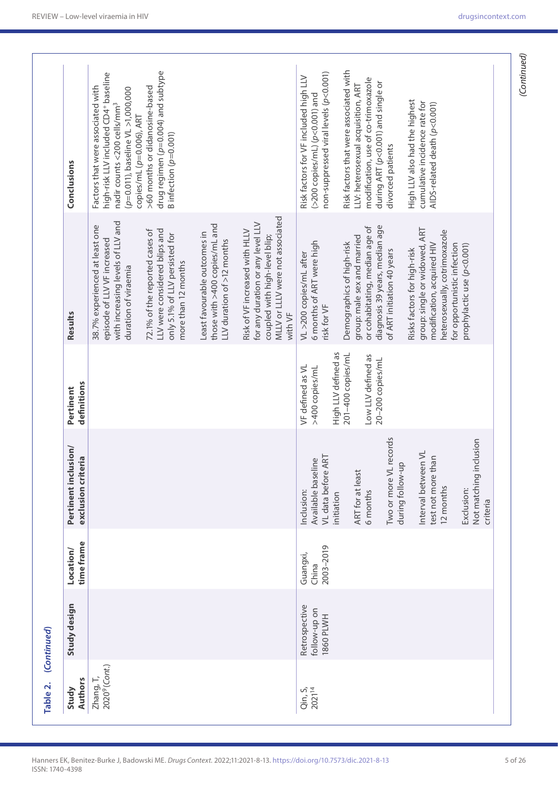| Study design<br>(Continued)                                                         | Location/ | Pertinent inclusion/                                                 | Pertinent                                                   | Results                                                                                                                                                                               | Conclusions                                                                                                                                                                                                             |
|-------------------------------------------------------------------------------------|-----------|----------------------------------------------------------------------|-------------------------------------------------------------|---------------------------------------------------------------------------------------------------------------------------------------------------------------------------------------|-------------------------------------------------------------------------------------------------------------------------------------------------------------------------------------------------------------------------|
| time frame                                                                          |           | teria<br>exclusion crit                                              | definitions                                                 | with increasing levels of LLV and<br>38.7% experienced at least one<br>72.1% of the reported cases of<br>episode of LLV VF increased<br>duration of viraemia                          | high-risk LLV included CD4+ baseline<br>>60 months or didanosine-based<br>Factors that were associated with<br>(p=0.011), baseline VL >1,000,000<br>nadir counts <200 cells/mm <sup>3</sup><br>copies/mL (p=0.006), ART |
|                                                                                     |           |                                                                      |                                                             | those with >400 copies/mL and<br>LLV were considered blips and<br>Least favourable outcomes in<br>only 5.1% of LLV persisted for<br>LLV duration of >12 months<br>more than 12 months | drug regimen (p=0.004) and subtype<br>B infection $(p=0.001)$                                                                                                                                                           |
|                                                                                     |           |                                                                      |                                                             | MLLV or LLLV were not associated<br>for any duration or any level LLV<br>Risk of VF increased with HLLV<br>coupled with high-level blip;<br>with VF                                   |                                                                                                                                                                                                                         |
| 2003-2019<br>Guangxi,<br>China<br>Retrospective<br>follow-up on<br><b>1860 PLWH</b> |           | VL data before ART<br>Available baseline<br>Inclusion:<br>initiation | High LLV defined as<br>VF defined as VL<br>>400 copies/mL   | 6 months of ART were high<br>VL >200 copies/mL after<br>risk for VF                                                                                                                   | non-suppressed viral levels (p<0.001)<br>Risk factors for VF included high LLV<br>(>200 copies/mL) (p<0.001) and                                                                                                        |
|                                                                                     |           | ART for at least<br>6 months                                         | 201-400 copies/mL<br>Low LLV defined as<br>20-200 copies/mL | diagnosis 39 years, median age<br>or cohabitating, median age of<br>group: male sex and married<br>Demographics of high-risk                                                          | Risk factors that were associated with<br>modification, use of co-trimoxazole<br>during ART (p<0.001) and single or<br>LLV: heterosexual acquisition, ART                                                               |
|                                                                                     |           | Two or more VL records<br>during follow-up                           |                                                             | of ART initiation 40 years                                                                                                                                                            | divorced patients                                                                                                                                                                                                       |
|                                                                                     |           | Interval between VL<br>than<br>test not more<br>12 months            |                                                             | group: single or widowed, ART<br>heterosexually, cotrimoxazole<br>modification, acquired HIV<br>for opportunistic infection<br>Risks factors for high-risk                            | High LLV also had the highest<br>cumulative incidence rate for<br>AIDS-related death (p<0.001)                                                                                                                          |
|                                                                                     |           | inclusion<br>Not matching<br>Exclusion:<br>criteria                  |                                                             | prophylactic use (p<0.001)                                                                                                                                                            |                                                                                                                                                                                                                         |

ISSN: 1740-4398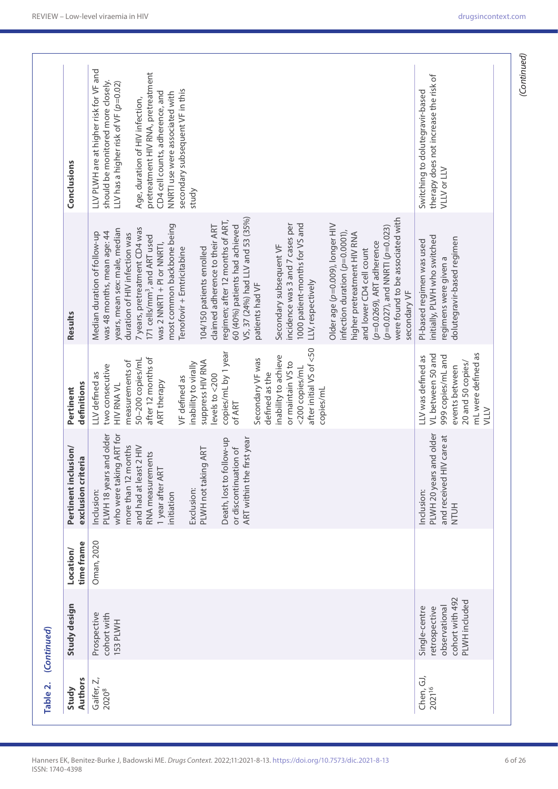| Authors<br>Study                | Study design                                                                        | time frame<br>Location/ | Pertinent inclusion/<br>exclusion criteria                                              | definitions<br>Pertinent                                                                                                  | Results                                                                                                                                                                                                   | Conclusions                                                                                                                |
|---------------------------------|-------------------------------------------------------------------------------------|-------------------------|-----------------------------------------------------------------------------------------|---------------------------------------------------------------------------------------------------------------------------|-----------------------------------------------------------------------------------------------------------------------------------------------------------------------------------------------------------|----------------------------------------------------------------------------------------------------------------------------|
| Gaifer, Z,<br>20208             | Prospective<br>cohort with<br>153 PLWH                                              | Oman, 2020              | PLWH 18 years and older<br>who were taking ART for<br>more than 12 months<br>Inclusion: | measurements of<br>two consecutive<br>LLV defined as<br><b>HIV RNA VL</b>                                                 | years, mean sex: male, median<br>was 48 months, mean age: 44<br>Median duration of follow-up<br>duration of HIV infection was                                                                             | LLV PLWH are at higher risk for VF and<br>should be monitored more closely.<br>LLV has a higher risk of VF ( $\rho$ =0.02) |
|                                 |                                                                                     |                         | and had at least 2 HIV<br>RNA measurements                                              | after 12 months of<br>50-200 copies/ml                                                                                    | 7 years, pretreatment CD4 was<br>171 cells/mm <sup>3</sup> , and ART used                                                                                                                                 | Age, duration of HIV infection,                                                                                            |
|                                 |                                                                                     |                         | 1 year after ART<br>initiation                                                          | ART therapy                                                                                                               | most common backbone being<br>was 2 NNRTI + PI or NNRTI,                                                                                                                                                  | pretreatment HIV RNA, pretreatment<br>CD4 cell counts, adherence, and<br>NNRTI use were associated with                    |
|                                 |                                                                                     |                         |                                                                                         | VF defined as                                                                                                             | Tenofovir + Emtricitabine                                                                                                                                                                                 | secondary subsequent VF in this                                                                                            |
|                                 |                                                                                     |                         | Exclusion:                                                                              | inability to virally                                                                                                      |                                                                                                                                                                                                           | study                                                                                                                      |
|                                 |                                                                                     |                         | ART<br>PLWH not taking                                                                  | suppress HIV RNA<br>levels to $<$ 200                                                                                     | claimed adherence to their ART<br>104/150 patients enrolled                                                                                                                                               |                                                                                                                            |
|                                 |                                                                                     |                         | ART within the first year<br>qn-woll<br>or discontinuation of<br>Death, lost to fol     | copies/mL by 1 year<br>of ART                                                                                             | VS, 37 (24%) had LLV and 53 (35%)<br>regimen; after 12 months of ART,<br>60 (40%) patients had achieved                                                                                                   |                                                                                                                            |
|                                 |                                                                                     |                         |                                                                                         | Secondary VF was<br>defined as the                                                                                        | patients had VF                                                                                                                                                                                           |                                                                                                                            |
|                                 |                                                                                     |                         |                                                                                         | inability to achieve<br>or maintain VS to<br><200 copies/mL                                                               | 1000 patient-months for VS and<br>incidence was 3 and 7 cases per<br>Secondary subsequent VF                                                                                                              |                                                                                                                            |
|                                 |                                                                                     |                         |                                                                                         | after initial VS of <50<br>copies/mL                                                                                      | LLV, respectively                                                                                                                                                                                         |                                                                                                                            |
|                                 |                                                                                     |                         |                                                                                         |                                                                                                                           | Older age (p=0.009), longer HIV<br>$(p=0.027)$ , and NNRTI ( $p=0.023$ )<br>infection duration ( $p=0.0001$ ),<br>higher pretreatment HIV RNA<br>$(p=0.0269)$ , ART adherence<br>and lower CD4 cell count |                                                                                                                            |
|                                 |                                                                                     |                         |                                                                                         |                                                                                                                           | were found to be associated with<br>secondary VF                                                                                                                                                          |                                                                                                                            |
| Chen, GJ,<br>2021 <sup>16</sup> | cohort with 492<br>PLWH included<br>observational<br>Single-centre<br>retrospective |                         | PLWH 20 years and older<br>and received HIV care at<br>Inclusion:<br><b>NTUH</b>        | mL were defined as<br>VL between 50 and<br>999 copies/mL and<br>LLV was defined as<br>20 and 50 copies/<br>events between | initially, PLWH who switched<br>dolutegravir-based regimen<br>PI-based regimen was used<br>regimens were given a                                                                                          | therapy does not increase the risk of<br>Switching to dolutegravir-based<br><b>VLLV or LLV</b>                             |

ISSN: 1740-4398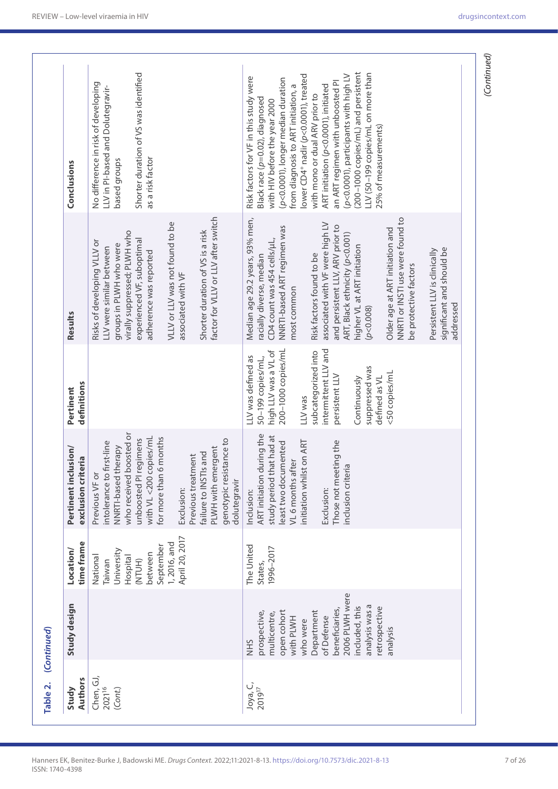| Study design                                      |                                              |                                                                                                                                            |                                                                                                  |                                                                                                                                          |                                                                                                                                                                                                                                            |
|---------------------------------------------------|----------------------------------------------|--------------------------------------------------------------------------------------------------------------------------------------------|--------------------------------------------------------------------------------------------------|------------------------------------------------------------------------------------------------------------------------------------------|--------------------------------------------------------------------------------------------------------------------------------------------------------------------------------------------------------------------------------------------|
|                                                   | time frame<br>Location/                      | Pertinent inclusion/<br>exclusion criteria                                                                                                 | definitions<br>Pertinent                                                                         | Results                                                                                                                                  | Conclusions                                                                                                                                                                                                                                |
|                                                   | University<br>National<br>Hospital<br>Taiwan | who received boosted or<br>intolerance to first-line<br>NNRTI-based therapy<br>Previous VF or                                              |                                                                                                  | virally suppressed; PLWH who<br>Risks of developing VLLV or<br>groups in PLWH who were<br>LLV were similar between                       | No difference in risk of developing<br>LLV in PI-based and Dolutegravir-<br>based groups                                                                                                                                                   |
|                                                   | September<br>between<br>(NTUH)               | with VL <200 copies/mL<br>for more than 6 months<br>unboosted PI regimens                                                                  |                                                                                                  | experienced VF, suboptimal<br>adherence was reported                                                                                     | Shorter duration of VS was identified<br>as a risk factor                                                                                                                                                                                  |
|                                                   | April 20, 2017<br>1,2016, and                | Previous treatment<br>Exclusion:                                                                                                           |                                                                                                  | VLLV or LLV was not found to be<br>associated with VF                                                                                    |                                                                                                                                                                                                                                            |
|                                                   |                                              | genotypic resistance to<br>PLWH with emergent<br>failure to INSTIs and<br>dolutegravir                                                     |                                                                                                  | factor for VLLV or LLV after switch<br>Shorter duration of VS is a risk                                                                  |                                                                                                                                                                                                                                            |
|                                                   | The United<br>1996-2017<br>States,           | ART initiation during the<br>study period that had at<br>nitiation whilst on ART<br>east two documented<br>VL 6 months after<br>Inclusion: | 200-1000 copies/mL<br>high LLV was a VL of<br>LLV was defined as<br>50-199 copies/mL,<br>LLV was | Median age 29.2 years, 93% men,<br>NNRTI-based ART regimen was<br>CD4 count was 454 cells/µL,<br>racially diverse, median<br>most common | lower CD4 <sup>+</sup> nadir (p<0.0001), treated<br>Risk factors for VF in this study were<br>(p<0.0001), longer median duration<br>from diagnosis to ART initiation, a<br>Black race (p=0.02), diagnosed<br>with HIV before the year 2000 |
| 2006 PLWH were<br>beneficiaries,                  |                                              | Those not meeting the<br>inclusion criteria<br>Exclusion:                                                                                  | intermittent LLV and<br>subcategorized into<br>persistent LLV                                    | associated with VF were high LV<br>and persistent LLV, ARV prior to<br>ART, Black ethnicity (p<0.001)<br>Risk factors found to be        | (p<0.0001), participants with high LV<br>an ART regimen with unboosted PI<br>ART initiation (p<0.0001), initiated<br>with mono or dual ARV prior to                                                                                        |
| analysis was a<br>included, this<br>retrospective |                                              |                                                                                                                                            | suppressed was<br>defined as VL<br>Continuously                                                  | higher VL at ART initiation<br>(p<0.008)                                                                                                 | (200-1000 copies/mL) and persistent<br>LLV (50-199 copies/mL on more than<br>25% of measurements)                                                                                                                                          |
|                                                   |                                              |                                                                                                                                            | <50 copies/mL                                                                                    | NNRTI or INSTI use were found to<br>Older age at ART initiation and<br>be protective factors                                             |                                                                                                                                                                                                                                            |
|                                                   |                                              |                                                                                                                                            |                                                                                                  | significant and should be<br>Persistent LLV is clinically<br>addressed                                                                   |                                                                                                                                                                                                                                            |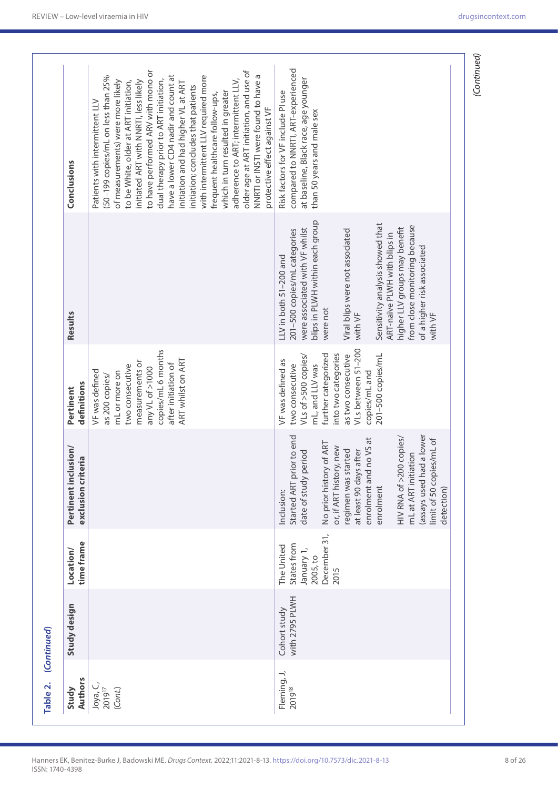| Patients with intermittent LLV<br>protective effect against VF<br>than 50 years and male sex<br>Conclusions<br>blips in PLWH within each group<br>Sensitivity analysis showed that<br>from close monitoring because<br>higher LLV groups may benefit<br>were associated with VF whilst<br>201-500 copies/mL categories<br>Viral blips were not associated<br>ART-naïve PLWH with blips in<br>of a higher risk associated<br>LLV in both 51-200 and<br>were not<br>Results<br>with VF<br>with VF<br>VLs between 51-200<br>copies/mL 6 months<br>further categorized<br>into two categories<br>as two consecutive<br>VLs of >500 copies/<br>201-500 copies/mL<br>ART whilst on ART<br>VF was defined as<br>measurements or<br>mL, and LLV was<br>after initiation of<br>two consecutive<br>two consecutive<br>any VL of >1000<br>VF was defined<br>copies/mL and<br>mL or more on<br>as 200 copies/<br>definitions<br>Pertinent<br>Started ART prior to end<br>assays used had a lower<br>HIV RNA of >200 copies/<br>enrolment and no VS at<br>limit of 50 copies/mL of<br>No prior history of ART<br>or, if ART history, new<br>Pertinent inclusion/<br>regimen was started<br>at least 90 days after<br>period<br>mL at ART initiation<br>exclusion criteria<br>date of study<br>enrolment<br>Inclusion:<br>December 31,<br>time frame<br>The United<br>States from<br>January 1,<br>Location/<br>2005, to<br>2015<br>with 2795 PLWH<br>Study design<br>Cohort study<br>Fleming, J,<br><b>Authors</b><br>Joya, C,<br>2019 <sup>17</sup><br>201918<br>Study<br>(Cont.) | Table 2. | (Continued) |            |  |                                                                                                                                                                                                                                                                                                                                                                                                                                                                                                                                                                                                      |
|-----------------------------------------------------------------------------------------------------------------------------------------------------------------------------------------------------------------------------------------------------------------------------------------------------------------------------------------------------------------------------------------------------------------------------------------------------------------------------------------------------------------------------------------------------------------------------------------------------------------------------------------------------------------------------------------------------------------------------------------------------------------------------------------------------------------------------------------------------------------------------------------------------------------------------------------------------------------------------------------------------------------------------------------------------------------------------------------------------------------------------------------------------------------------------------------------------------------------------------------------------------------------------------------------------------------------------------------------------------------------------------------------------------------------------------------------------------------------------------------------------------------------------------------------------------------------|----------|-------------|------------|--|------------------------------------------------------------------------------------------------------------------------------------------------------------------------------------------------------------------------------------------------------------------------------------------------------------------------------------------------------------------------------------------------------------------------------------------------------------------------------------------------------------------------------------------------------------------------------------------------------|
|                                                                                                                                                                                                                                                                                                                                                                                                                                                                                                                                                                                                                                                                                                                                                                                                                                                                                                                                                                                                                                                                                                                                                                                                                                                                                                                                                                                                                                                                                                                                                                       |          |             |            |  |                                                                                                                                                                                                                                                                                                                                                                                                                                                                                                                                                                                                      |
|                                                                                                                                                                                                                                                                                                                                                                                                                                                                                                                                                                                                                                                                                                                                                                                                                                                                                                                                                                                                                                                                                                                                                                                                                                                                                                                                                                                                                                                                                                                                                                       |          |             |            |  | to have performed ARV with mono or<br>older age at ART initiation, and use of<br>NNRTI or INSTI were found to have a<br>have a lower CD4 nadir and count at<br>with intermittent LLV required more<br>(50-199 copies/mL on less than 25%<br>dual therapy prior to ART initiation,<br>adherence to ART; intermittent LLV,<br>of measurements) were more likely<br>to be White, older at ART initiation,<br>nitiated ART with NNRTI, less likely<br>initiation and had higher VL at ART<br>initiation; concludes that patients<br>which in turn resulted in greater<br>frequent healthcare follow-ups, |
|                                                                                                                                                                                                                                                                                                                                                                                                                                                                                                                                                                                                                                                                                                                                                                                                                                                                                                                                                                                                                                                                                                                                                                                                                                                                                                                                                                                                                                                                                                                                                                       |          |             | detection) |  | compared to NNRTI, ART-experienced<br>at baseline, Black race, age younger<br>Risk factors for VF include PI use                                                                                                                                                                                                                                                                                                                                                                                                                                                                                     |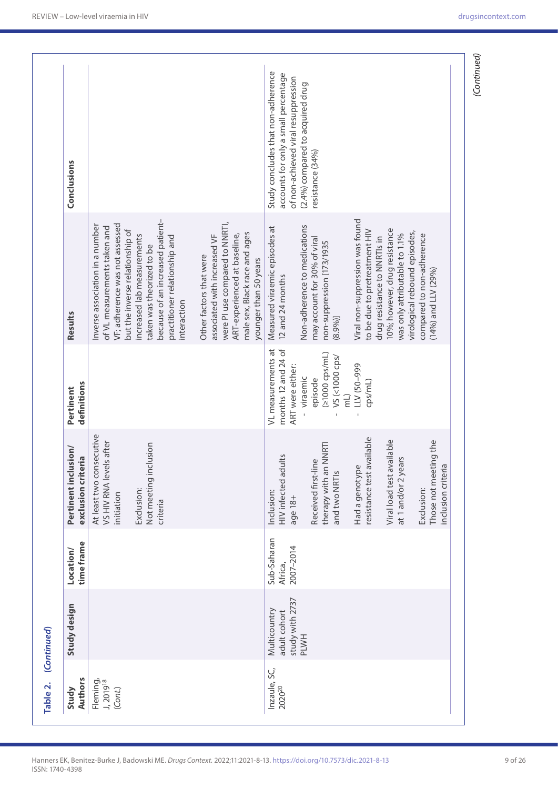|             | Conclusions                                |                                                                                                                                                                                                                                                                                     |                                                                                                                                                                                     | Study concludes that non-adherence<br>accounts for only a small percentage<br>of non-achieved viral resuppression | (2.4%) compared to acquired drug<br>resistance (34%)                                                   |                                                                                                  |                                                                                                 |                                                          |
|-------------|--------------------------------------------|-------------------------------------------------------------------------------------------------------------------------------------------------------------------------------------------------------------------------------------------------------------------------------------|-------------------------------------------------------------------------------------------------------------------------------------------------------------------------------------|-------------------------------------------------------------------------------------------------------------------|--------------------------------------------------------------------------------------------------------|--------------------------------------------------------------------------------------------------|-------------------------------------------------------------------------------------------------|----------------------------------------------------------|
|             | Results                                    | because of an increased patient-<br>VF; adherence was not assessed<br>Inverse association in a number<br>of VL measurements taken and<br>but the inverse relationship of<br>increased lab measurements<br>practitioner relationship and<br>taken was theorized to be<br>interaction | were PI use compared to NNRTI,<br>male sex, Black race and ages<br>ART-experienced at baseline,<br>associated with increased VF<br>Other factors that were<br>younger than 50 years | Measured viraemic episodes at<br>12 and 24 months                                                                 | Non-adherence to medications<br>may account for 30% of viral<br>non-suppression [173/1935<br>$(8.9%$ ] | Viral non-suppression was found<br>to be due to pretreatment HIV<br>drug resistance to NNRTIs in | 10%; however, drug resistance<br>virological rebound episodes,<br>was only attributable to 1.1% | compared to non-adherence<br>$(14\%)$ and LLV (29%)      |
|             | definitions<br>Pertinent                   |                                                                                                                                                                                                                                                                                     |                                                                                                                                                                                     | VL measurements at<br>months 12 and 24 of<br>ART were either:                                                     | $(21000 \text{ cps/mL})$<br>VS (<1000 cps/<br>- viraemic<br>episode<br>$\overline{\mathsf{m}}$         | LLV (50-999<br>cps/mL)                                                                           |                                                                                                 |                                                          |
|             | Pertinent inclusion/<br>exclusion criteria | At least two consecutive<br>VS HIV RNA levels after<br>Not meeting inclusion<br>Exclusion:<br>initiation<br>criteria                                                                                                                                                                |                                                                                                                                                                                     | HIV infected adults<br>Inclusion:<br>age 18+                                                                      | therapy with an NNRTI<br>Received first-line<br>and two NRTIs                                          | resistance test available<br>Had a genotype                                                      | Viral load test available<br>at 1 and/or 2 years                                                | Those not meeting the<br>inclusion criteri<br>Exclusion: |
|             | time frame<br>Location/                    |                                                                                                                                                                                                                                                                                     |                                                                                                                                                                                     | Sub-Saharan<br>2007-2014<br>Africa,                                                                               |                                                                                                        |                                                                                                  |                                                                                                 |                                                          |
| (Continued) | Study design                               |                                                                                                                                                                                                                                                                                     |                                                                                                                                                                                     | study with 2737<br>Multicountry<br>adult cohort                                                                   | <b>PLWH</b>                                                                                            |                                                                                                  |                                                                                                 |                                                          |
| Table 2.    | <b>Authors</b><br>Study                    | Fleming,<br>J, 2019 <sup>18</sup><br>(Cont.)                                                                                                                                                                                                                                        |                                                                                                                                                                                     | Inzaule, SC,<br>202020                                                                                            |                                                                                                        |                                                                                                  |                                                                                                 |                                                          |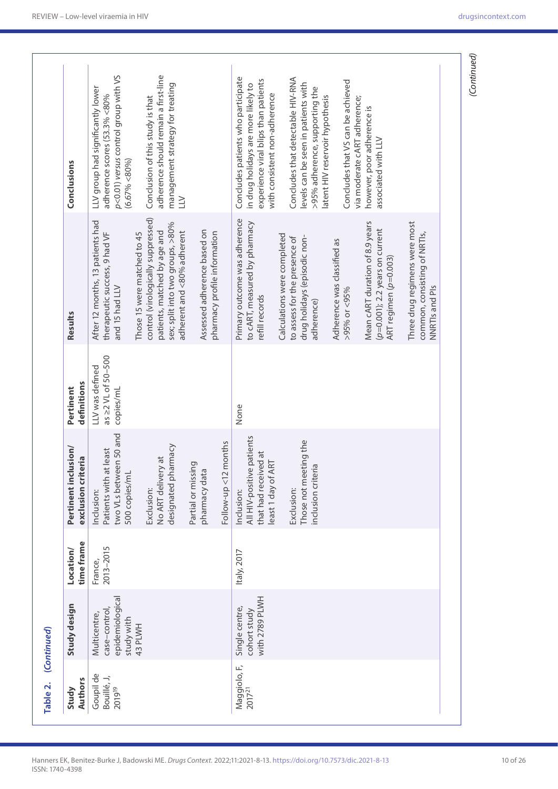| Authors<br>Study                   | Study design                                                  | time frame<br>Location/ | Pertinent inclusion/<br>exclusion criteria                                            | definitions<br>Pertinent                                 | Results                                                                                                                                                             | Conclusions                                                                                                                                        |
|------------------------------------|---------------------------------------------------------------|-------------------------|---------------------------------------------------------------------------------------|----------------------------------------------------------|---------------------------------------------------------------------------------------------------------------------------------------------------------------------|----------------------------------------------------------------------------------------------------------------------------------------------------|
| Goupil de<br>Bouillé, J,<br>201919 | epidemiologica<br>case-control,<br>Multicentre,<br>study with | 2013-2015<br>France,    | two VLs between 50 and<br>Patients with at least<br>500 copies/ml<br>Inclusion:       | as $\geq$ 2 VL of 50-500<br>LLV was defined<br>copies/mL | After 12 months, 13 patients had<br>therapeutic success, 9 had VF<br>and 15 had LLV                                                                                 | p<0.01) versus control group with VS<br>LLV group had significantly lower<br>adherence scores (53.3% <80%<br>(6.67% < 80%                          |
|                                    | 43 PLWH                                                       |                         | designated pharmacy<br>No ART delivery at<br>Exclusion:                               |                                                          | control (virologically suppressed)<br>sex; split into two groups, >80%<br>patients, matched by age and<br>adherent and <80% adherent<br>Those 15 were matched to 45 | adherence should remain a first-line<br>management strategy for treating<br>Conclusion of this study is that<br>$\geq$                             |
|                                    |                                                               |                         | Partial or missing<br>pharmacy data                                                   |                                                          | Assessed adherence based on<br>pharmacy profile information                                                                                                         |                                                                                                                                                    |
|                                    |                                                               |                         | months<br>$Follow-up < 12$                                                            |                                                          |                                                                                                                                                                     |                                                                                                                                                    |
| Maggiolo, F,<br>2017 <sup>21</sup> | with 2789 PLWH<br>Single centre,<br>cohort study              | ltaly, 2017             | All HIV-positive patients<br>that had received at<br>least 1 day of ART<br>Inclusion: | None                                                     | Primary outcome was adherence<br>to cART, measured by pharmacy<br>refill records                                                                                    | Concludes patients who participate<br>experience viral blips than patients<br>in drug holidays are more likely to<br>with consistent non-adherence |
|                                    |                                                               |                         |                                                                                       |                                                          | Calculations were completed                                                                                                                                         |                                                                                                                                                    |
|                                    |                                                               |                         | Those not meeting the<br>nclusion criteria<br>Exclusion:                              |                                                          | drug holidays (episodic non-<br>to assess for the presence of<br>adherence)                                                                                         | Concludes that detectable HIV-RNA<br>evels can be seen in patients with<br>>95% adherence, supporting the<br>atent HIV reservoir hypothesis        |
|                                    |                                                               |                         |                                                                                       |                                                          | Adherence was classified as                                                                                                                                         |                                                                                                                                                    |
|                                    |                                                               |                         |                                                                                       |                                                          | $>95\%$ or <95%                                                                                                                                                     | Concludes that VS can be achieved<br>via moderate cART adherence;                                                                                  |
|                                    |                                                               |                         |                                                                                       |                                                          | Mean cART duration of 8.9 years<br>$(p=0.001)$ ; 2.2 years on current<br>ART regimen (p=0.003)                                                                      | however, poor adherence is<br>associated with LLV                                                                                                  |
|                                    |                                                               |                         |                                                                                       |                                                          |                                                                                                                                                                     |                                                                                                                                                    |
|                                    |                                                               |                         |                                                                                       |                                                          | Three drug regimens were most<br>common, consisting of NRTIs,<br>NNRTIs and PIs                                                                                     |                                                                                                                                                    |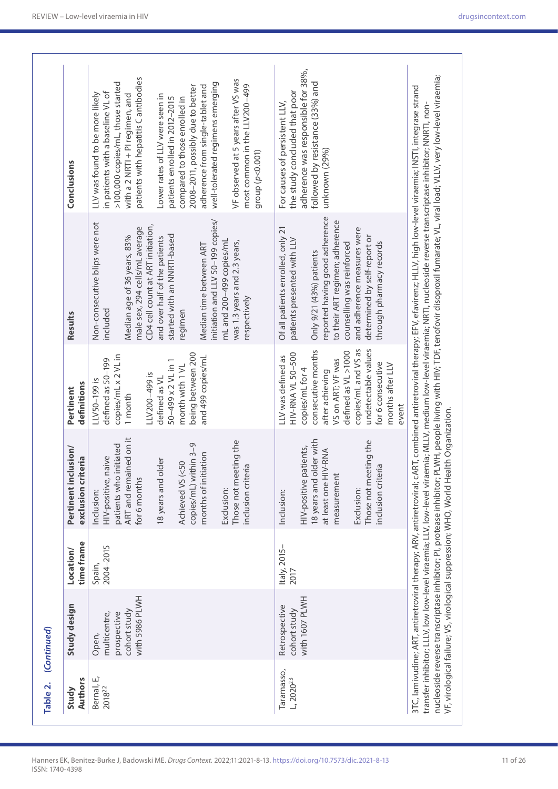| Authors                          |                                                                        | time frame<br>Location/ | Pertinent inclusion/<br>exclusion criteria                                                                                                                                                                                                                               | definitions<br>Pertinent                                                                                                                                                                                                                        | Results                                                                                                                                                                                                                                                                                                                                                                 | Conclusions                                                                                                                                                                                                                                                                                                                                                                                                                                                                                        |
|----------------------------------|------------------------------------------------------------------------|-------------------------|--------------------------------------------------------------------------------------------------------------------------------------------------------------------------------------------------------------------------------------------------------------------------|-------------------------------------------------------------------------------------------------------------------------------------------------------------------------------------------------------------------------------------------------|-------------------------------------------------------------------------------------------------------------------------------------------------------------------------------------------------------------------------------------------------------------------------------------------------------------------------------------------------------------------------|----------------------------------------------------------------------------------------------------------------------------------------------------------------------------------------------------------------------------------------------------------------------------------------------------------------------------------------------------------------------------------------------------------------------------------------------------------------------------------------------------|
| Bernal, E,<br>2018 <sup>22</sup> | with 5986 PLWH<br>cohort study<br>multicentre,<br>prospective<br>Open, | 2004-2015<br>Spain,     | ART and remained on it<br>Those not meeting the<br>copies/mL) within 3-9<br>patients who initiated<br>months of initiation<br>HIV-positive, naive<br>18 years and older<br>Achieved VS (<50<br>$\sigma$<br>inclusion criteri<br>for 6 months<br>Exclusion:<br>Inclusion: | being between 200<br>copies/mL x 2 VL in<br>and 499 copies/mL<br>defined as 50-199<br>50-499 x 2 VL in 1<br>month with 1 VL<br>LLV200-499 is<br>defined as VL<br>LLV50-199 is<br>1 month                                                        | initiation and LLV 50-199 copies/<br>Non-consecutive blips were not<br>CD4 cell count at ART initiation,<br>male sex, 294 cells/mL average<br>started with an NNRTI-based<br>Median age of 36 years, 83%<br>and over half of the patients<br>mL and 200-499 copies/mL<br>was 1.3 years and 2.3 years,<br>Median time between ART<br>respectively<br>included<br>regimen | patients with hepatitis C antibodies<br>VF observed at 5 years after VS was<br>>100,000 copies/mL, those started<br>well-tolerated regimens emerging<br>most common in the LLV200-499<br>2008-2011, possibly due to better<br>adherence from single-tablet and<br>in patients with a baseline VL of<br>LLV was found to be more likely<br>with a 2 NRTI + PI regimen, and<br>Lower rates of LLV were seen in<br>compared to those enrolled in<br>patients enrolled in 2012-2015<br>group (p<0.001) |
| Taramasso,<br>$L, 2020^{23}$     | with 1607 PLWH<br>Retrospective<br>cohort study                        | Italy, 2015-<br>2017    | 18 years and older with<br>Those not meeting the<br>HIV-positive patients,<br>at least one HIV-RNA<br>$\sigma$<br>nclusion criteri<br>measurement<br>Exclusion:<br>Inclusion:                                                                                            | undetectable values<br>consecutive months<br>copies/mL and VS as<br>defined as VL >1000<br>HIV-RNA VL 50-500<br>LLV was defined as<br>VS on ART; VF was<br>for 6 consecutive<br>months after LLV<br>copies/mL for 4<br>after achieving<br>event | reported having good adherence<br>to their ART regimen; adherence<br>Of all patients enrolled, only 21<br>and adherence measures were<br>determined by self-report or<br>patients presented with LLV<br>through pharmacy records<br>counselling was reinforced<br>Only 9/21 (43%) patients                                                                              | adherence was responsible for 38%,<br>followed by resistance (33%) and<br>the study concluded that poor<br>For causes of persistent LLV,<br>unknown (29%)                                                                                                                                                                                                                                                                                                                                          |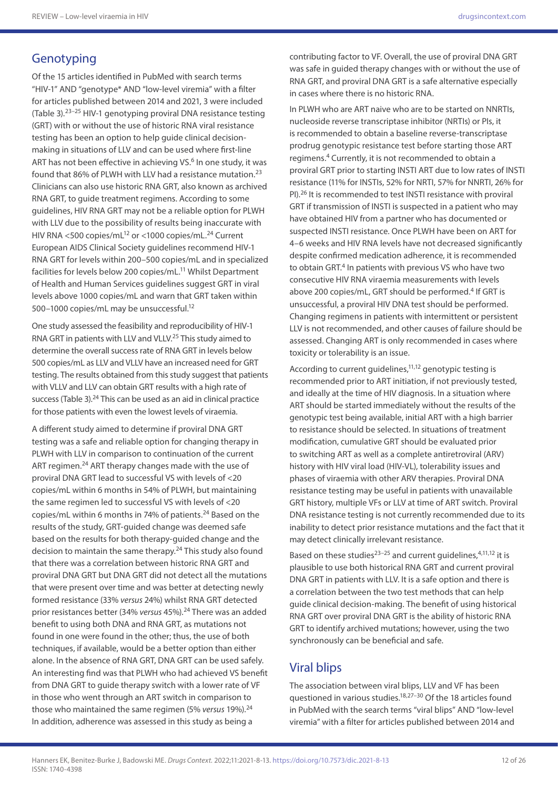## **Genotyping**

Of the 15 articles identified in PubMed with search terms "HIV-1" AND "genotype\* AND "low-level viremia" with a filter for articles published between 2014 and 2021, 3 were included (Table 3).23–25 HIV-1 genotyping proviral DNA resistance testing (GRT) with or without the use of historic RNA viral resistance testing has been an option to help guide clinical decisionmaking in situations of LLV and can be used where first-line ART has not been effective in achieving VS.<sup>6</sup> In one study, it was found that 86% of PLWH with LLV had a resistance mutation.23 Clinicians can also use historic RNA GRT, also known as archived RNA GRT, to guide treatment regimens. According to some guidelines, HIV RNA GRT may not be a reliable option for PLWH with LLV due to the possibility of results being inaccurate with HIV RNA <500 copies/mL<sup>12</sup> or <1000 copies/mL.<sup>24</sup> Current European AIDS Clinical Society guidelines recommend HIV-1 RNA GRT for levels within 200–500 copies/mL and in specialized facilities for levels below 200 copies/mL.11 Whilst Department of Health and Human Services guidelines suggest GRT in viral levels above 1000 copies/mL and warn that GRT taken within 500–1000 copies/mL may be unsuccessful.12

One study assessed the feasibility and reproducibility of HIV-1 RNA GRT in patients with LLV and VLLV.25 This study aimed to determine the overall success rate of RNA GRT in levels below 500 copies/mL as LLV and VLLV have an increased need for GRT testing. The results obtained from this study suggest that patients with VLLV and LLV can obtain GRT results with a high rate of success (Table 3).<sup>24</sup> This can be used as an aid in clinical practice for those patients with even the lowest levels of viraemia.

A different study aimed to determine if proviral DNA GRT testing was a safe and reliable option for changing therapy in PLWH with LLV in comparison to continuation of the current ART regimen.<sup>24</sup> ART therapy changes made with the use of proviral DNA GRT lead to successful VS with levels of <20 copies/mL within 6 months in 54% of PLWH, but maintaining the same regimen led to successful VS with levels of <20 copies/mL within 6 months in 74% of patients.<sup>24</sup> Based on the results of the study, GRT-guided change was deemed safe based on the results for both therapy-guided change and the decision to maintain the same therapy.<sup>24</sup> This study also found that there was a correlation between historic RNA GRT and proviral DNA GRT but DNA GRT did not detect all the mutations that were present over time and was better at detecting newly formed resistance (33% *versus* 24%) whilst RNA GRT detected prior resistances better (34% *versus* 45%).24 There was an added benefit to using both DNA and RNA GRT, as mutations not found in one were found in the other; thus, the use of both techniques, if available, would be a better option than either alone. In the absence of RNA GRT, DNA GRT can be used safely. An interesting find was that PLWH who had achieved VS benefit from DNA GRT to guide therapy switch with a lower rate of VF in those who went through an ART switch in comparison to those who maintained the same regimen (5% *versus* 19%).24 In addition, adherence was assessed in this study as being a

contributing factor to VF. Overall, the use of proviral DNA GRT was safe in guided therapy changes with or without the use of RNA GRT, and proviral DNA GRT is a safe alternative especially in cases where there is no historic RNA.

In PLWH who are ART naive who are to be started on NNRTIs, nucleoside reverse transcriptase inhibitor (NRTIs) or PIs, it is recommended to obtain a baseline reverse-transcriptase prodrug genotypic resistance test before starting those ART regimens.4 Currently, it is not recommended to obtain a proviral GRT prior to starting INSTI ART due to low rates of INSTI resistance (11% for INSTIs, 52% for NRTI, 57% for NNRTI, 26% for PI).26 It is recommended to test INSTI resistance with proviral GRT if transmission of INSTI is suspected in a patient who may have obtained HIV from a partner who has documented or suspected INSTI resistance. Once PLWH have been on ART for 4–6 weeks and HIV RNA levels have not decreased significantly despite confirmed medication adherence, it is recommended to obtain GRT.<sup>4</sup> In patients with previous VS who have two consecutive HIV RNA viraemia measurements with levels above 200 copies/mL, GRT should be performed.<sup>4</sup> If GRT is unsuccessful, a proviral HIV DNA test should be performed. Changing regimens in patients with intermittent or persistent LLV is not recommended, and other causes of failure should be assessed. Changing ART is only recommended in cases where toxicity or tolerability is an issue.

According to current guidelines,<sup>11,12</sup> genotypic testing is recommended prior to ART initiation, if not previously tested, and ideally at the time of HIV diagnosis. In a situation where ART should be started immediately without the results of the genotypic test being available, initial ART with a high barrier to resistance should be selected. In situations of treatment modification, cumulative GRT should be evaluated prior to switching ART as well as a complete antiretroviral (ARV) history with HIV viral load (HIV-VL), tolerability issues and phases of viraemia with other ARV therapies. Proviral DNA resistance testing may be useful in patients with unavailable GRT history, multiple VFs or LLV at time of ART switch. Proviral DNA resistance testing is not currently recommended due to its inability to detect prior resistance mutations and the fact that it may detect clinically irrelevant resistance.

Based on these studies<sup>23-25</sup> and current quidelines,  $4,11,12$  it is plausible to use both historical RNA GRT and current proviral DNA GRT in patients with LLV. It is a safe option and there is a correlation between the two test methods that can help guide clinical decision-making. The benefit of using historical RNA GRT over proviral DNA GRT is the ability of historic RNA GRT to identify archived mutations; however, using the two synchronously can be beneficial and safe.

### Viral blips

The association between viral blips, LLV and VF has been questioned in various studies.18,27–30 Of the 18 articles found in PubMed with the search terms "viral blips" AND "low-level viremia" with a filter for articles published between 2014 and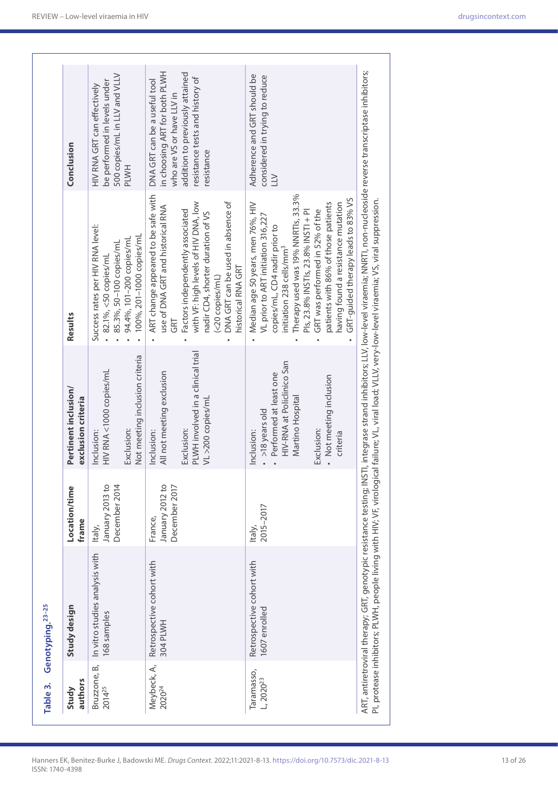| Table 3.                          | Genotyping. <sup>23-25</sup>                                       |                                             |                                                                                                                                                              |                                                                                                                                                                                                                                                                                                                                                                                     |                                                                                                                                                                                |
|-----------------------------------|--------------------------------------------------------------------|---------------------------------------------|--------------------------------------------------------------------------------------------------------------------------------------------------------------|-------------------------------------------------------------------------------------------------------------------------------------------------------------------------------------------------------------------------------------------------------------------------------------------------------------------------------------------------------------------------------------|--------------------------------------------------------------------------------------------------------------------------------------------------------------------------------|
| authors<br>Study                  | Study design                                                       | Location/time<br>frame                      | Pertinent inclusion/<br>exclusion criteria                                                                                                                   | Results                                                                                                                                                                                                                                                                                                                                                                             | Conclusion                                                                                                                                                                     |
| 2014 <sup>25</sup>                | Bruzzone, B, In vitro studies analysis with<br>168 samples         | December 2014<br>January 2013 to<br>Italy,  | Not meeting inclusion criteria<br>HIV RNA <1000 copies/mL<br>Exclusion:<br>Inclusion:                                                                        | Success rates per HIV RNA level:<br>100%, 201-1000 copies/mL<br>94.4%, 101-200 copies/mL<br>85.3%, 50-100 copies/mL<br>82.1%, <50 copies/mL                                                                                                                                                                                                                                         | 500 copies/mL in LLV and VLLV<br>be performed in levels under<br>HIV RNA GRT can effectively<br>PLWH                                                                           |
| Meybeck, A,<br>2020 <sup>24</sup> | Retrospective cohort with<br>304 PLWH                              | January 2012 to<br>December 2017<br>France, | PLWH involved in a clinical trial<br>All not meeting exclusion<br>VL >200 copies/ml<br>Exclusion:<br>Inclusion:                                              | ART change appeared to be safe with<br>DNA GRT can be used in absence of<br>with VF: high levels of HIV DNA, low<br>use of DNA GRT and historical RNA<br>Factors independently associated<br>nadir CD4, shorter duration of VS<br>historical RNA GRT<br>(<20 copies/mL)<br>GRT                                                                                                      | in choosing ART for both PLWH<br>addition to previously attained<br>resistance tests and history of<br>DNA GRT can be a useful tool<br>who are VS or have LLV in<br>resistance |
| Taramasso,<br>$L, 2020^{23}$      | Retrospective cohort with<br>1607 enrolled                         | 2015-2017<br>Italy,                         | HIV-RNA at Policlinico San<br>Performed at least one<br>• Not meeting inclusion<br>Martino Hospital<br>>18 years old<br>Exclusion:<br>Inclusion:<br>criteria | Therapy used was 19% NNRTIs, 33.3%<br>GRT-guided therapy leads to 83% VS<br>patients with 86% of those patients<br>having found a resistance mutation<br>Median age 50 years, men 76%, HIV<br>GRT was performed in 52% of the<br>Pls, 23.8% INSTIs, 23.8% INSTI + PI<br>VL prior to ART initiation 316,227<br>copies/mL, CD4 nadir prior to<br>initiation 238 cells/mm <sup>3</sup> | Adherence and GRT should be<br>considered in trying to reduce<br>$\geq$                                                                                                        |
|                                   | ART, antiretroviral therapy; GRT, genotypic resistance testing; ll |                                             |                                                                                                                                                              | NSTI, integrase strand inhibitors; LLV, low-level viraemia; NNRTI, non-nucleoside reverse transcriptase inhibitors;<br>PI, protease inhibitors; PLWH, people living with HIV; VF, virological failure; VL, viral load; VLIV, very-low-level viraemia; VS, viral suppression.                                                                                                        |                                                                                                                                                                                |

٦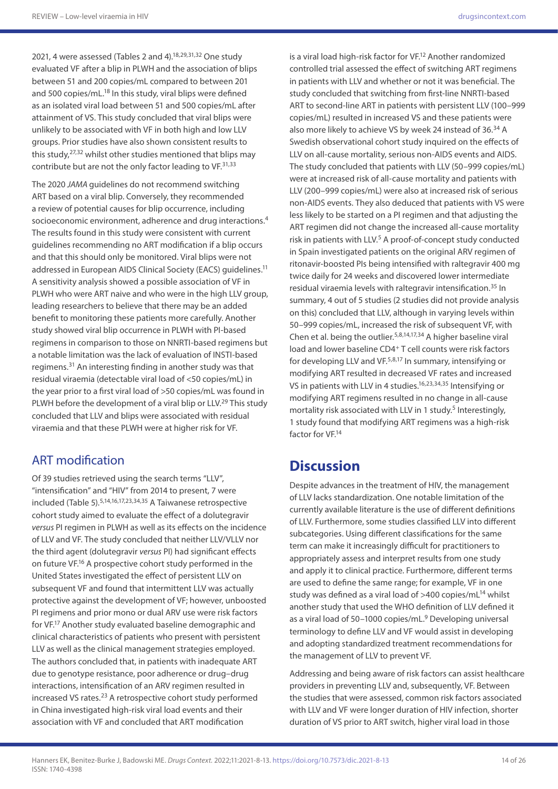2021, 4 were assessed (Tables 2 and 4).<sup>18,29,31,32</sup> One study evaluated VF after a blip in PLWH and the association of blips between 51 and 200 copies/mL compared to between 201 and 500 copies/mL.<sup>18</sup> In this study, viral blips were defined as an isolated viral load between 51 and 500 copies/mL after attainment of VS. This study concluded that viral blips were unlikely to be associated with VF in both high and low LLV groups. Prior studies have also shown consistent results to this study, <sup>27,32</sup> whilst other studies mentioned that blips may contribute but are not the only factor leading to VF.<sup>31,33</sup>

The 2020 *JAMA* guidelines do not recommend switching ART based on a viral blip. Conversely, they recommended a review of potential causes for blip occurrence, including socioeconomic environment, adherence and drug interactions.4 The results found in this study were consistent with current guidelines recommending no ART modification if a blip occurs and that this should only be monitored. Viral blips were not addressed in European AIDS Clinical Society (EACS) guidelines.<sup>11</sup> A sensitivity analysis showed a possible association of VF in PLWH who were ART naive and who were in the high LLV group, leading researchers to believe that there may be an added benefit to monitoring these patients more carefully. Another study showed viral blip occurrence in PLWH with PI-based regimens in comparison to those on NNRTI-based regimens but a notable limitation was the lack of evaluation of INSTI-based regimens.31 An interesting finding in another study was that residual viraemia (detectable viral load of <50 copies/mL) in the year prior to a first viral load of >50 copies/mL was found in PLWH before the development of a viral blip or LLV.<sup>29</sup> This study concluded that LLV and blips were associated with residual viraemia and that these PLWH were at higher risk for VF.

### ART modification

Of 39 studies retrieved using the search terms "LLV", "intensification" and "HIV" from 2014 to present, 7 were included (Table 5).5,14,16,17,23,34,35 A Taiwanese retrospective cohort study aimed to evaluate the effect of a dolutegravir *versus* PI regimen in PLWH as well as its effects on the incidence of LLV and VF. The study concluded that neither LLV/VLLV nor the third agent (dolutegravir *versus* PI) had significant effects on future VF.16 A prospective cohort study performed in the United States investigated the effect of persistent LLV on subsequent VF and found that intermittent LLV was actually protective against the development of VF; however, unboosted PI regimens and prior mono or dual ARV use were risk factors for VF.17 Another study evaluated baseline demographic and clinical characteristics of patients who present with persistent LLV as well as the clinical management strategies employed. The authors concluded that, in patients with inadequate ART due to genotype resistance, poor adherence or drug–drug interactions, intensification of an ARV regimen resulted in increased VS rates.23 A retrospective cohort study performed in China investigated high-risk viral load events and their association with VF and concluded that ART modification

is a viral load high-risk factor for VF.<sup>12</sup> Another randomized controlled trial assessed the effect of switching ART regimens in patients with LLV and whether or not it was beneficial. The study concluded that switching from first-line NNRTI-based ART to second-line ART in patients with persistent LLV (100–999 copies/mL) resulted in increased VS and these patients were also more likely to achieve VS by week 24 instead of 36.<sup>34</sup> A Swedish observational cohort study inquired on the effects of LLV on all-cause mortality, serious non-AIDS events and AIDS. The study concluded that patients with LLV (50–999 copies/mL) were at increased risk of all-cause mortality and patients with LLV (200–999 copies/mL) were also at increased risk of serious non-AIDS events. They also deduced that patients with VS were less likely to be started on a PI regimen and that adjusting the ART regimen did not change the increased all-cause mortality risk in patients with LLV.<sup>5</sup> A proof-of-concept study conducted in Spain investigated patients on the original ARV regimen of ritonavir-boosted PIs being intensified with raltegravir 400 mg twice daily for 24 weeks and discovered lower intermediate residual viraemia levels with raltegravir intensification.<sup>35</sup> In summary, 4 out of 5 studies (2 studies did not provide analysis on this) concluded that LLV, although in varying levels within 50–999 copies/mL, increased the risk of subsequent VF, with Chen et al. being the outlier.5,8,14,17,34 A higher baseline viral load and lower baseline CD4<sup>+</sup> T cell counts were risk factors for developing LLV and VF.5,8,17 In summary, intensifying or modifying ART resulted in decreased VF rates and increased VS in patients with LLV in 4 studies.<sup>16,23,34,35</sup> Intensifying or modifying ART regimens resulted in no change in all-cause mortality risk associated with LLV in 1 study.<sup>5</sup> Interestingly, 1 study found that modifying ART regimens was a high-risk factor for VF.14

## **Discussion**

Despite advances in the treatment of HIV, the management of LLV lacks standardization. One notable limitation of the currently available literature is the use of different definitions of LLV. Furthermore, some studies classified LLV into different subcategories. Using different classifications for the same term can make it increasingly difficult for practitioners to appropriately assess and interpret results from one study and apply it to clinical practice. Furthermore, different terms are used to define the same range; for example, VF in one study was defined as a viral load of  $>400$  copies/mL<sup>14</sup> whilst another study that used the WHO definition of LLV defined it as a viral load of 50-1000 copies/mL.<sup>9</sup> Developing universal terminology to define LLV and VF would assist in developing and adopting standardized treatment recommendations for the management of LLV to prevent VF.

Addressing and being aware of risk factors can assist healthcare providers in preventing LLV and, subsequently, VF. Between the studies that were assessed, common risk factors associated with LLV and VF were longer duration of HIV infection, shorter duration of VS prior to ART switch, higher viral load in those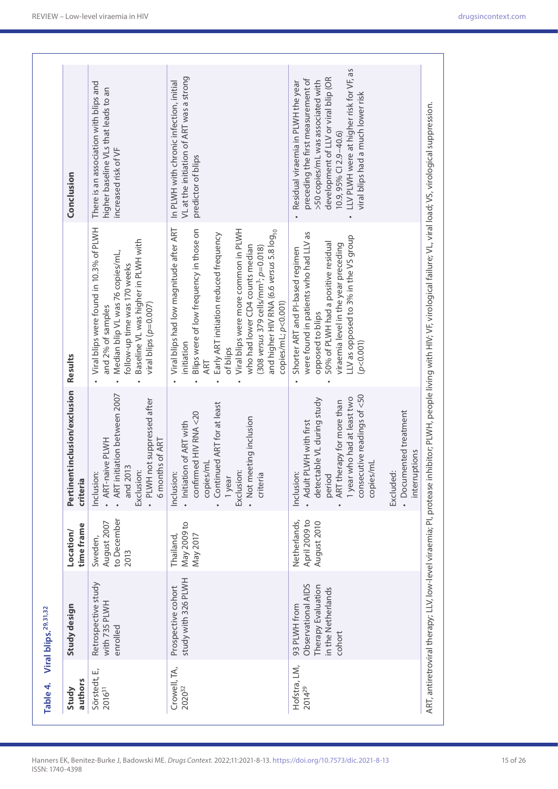| Table 4.                           | Viral blips. <sup>29,31,32</sup>                                                         |                                               |                                                                                                                                                                                                                                               |                                                                                                                                                                                                                                                                                                                                                                                      |                                                                                                                                                                                                                                                                    |
|------------------------------------|------------------------------------------------------------------------------------------|-----------------------------------------------|-----------------------------------------------------------------------------------------------------------------------------------------------------------------------------------------------------------------------------------------------|--------------------------------------------------------------------------------------------------------------------------------------------------------------------------------------------------------------------------------------------------------------------------------------------------------------------------------------------------------------------------------------|--------------------------------------------------------------------------------------------------------------------------------------------------------------------------------------------------------------------------------------------------------------------|
| authors<br>Study                   | Study design                                                                             | time frame<br>Location/                       | Pertinent inclusion/exclusion<br>criteria                                                                                                                                                                                                     | <b>Results</b>                                                                                                                                                                                                                                                                                                                                                                       | Conclusion                                                                                                                                                                                                                                                         |
| Sörstedt, E,<br>2016 <sup>31</sup> | Retrospective study<br>with 735 PLWH<br>enrolled                                         | to December<br>August 2007<br>Sweden,<br>2013 | . ART initiation between 2007<br>· PLWH not suppressed after<br>ART-naive PLWH<br>6 months of ART<br>and 2013<br>Exclusion:<br>Inclusion                                                                                                      | Viral blips were found in 10.3% of PLWH<br>Baseline VL was higher in PLWH with<br>Median blip VL was 76 copies/mL,<br>follow-up time was 170 weeks<br>viral blips ( $p=0.007$ )<br>and 2% of samples                                                                                                                                                                                 | There is an association with blips and<br>higher baseline VLs that leads to an<br>increased risk of VF                                                                                                                                                             |
| Crowell, TA,<br>202032             | study with 326 PLWH<br>Prospective cohort                                                | May 2009 to<br>May 2017<br>Thailand,          | Continued ART for at least<br>confirmed HIV RNA <20<br>Not meeting inclusion<br>· Initiation of ART with<br>copies/mL<br>Exclusion:<br>Inclusion<br>1 year<br>criteria                                                                        | Viral blips had low magnitude after ART<br>Blips were of low frequency in those on<br>Viral blips were more common in PLWH<br>and higher HIV RNA (6.6 <i>versus 5</i> .8 $\log_{10}$<br>Early ART initiation reduced frequency<br>who had lower CD4 counts median<br>$(308 \text{ versus } 379 \text{ cells/mm}^3; p=0.018)$<br>copies/mL; p<0.001)<br>initiation<br>of blips<br>ART | VL at the initiation of ART was a strong<br>In PLWH with chronic infection, initial<br>predictor of blips                                                                                                                                                          |
| Hofstra, LM,<br>2014 <sup>29</sup> | Observational AIDS<br>Therapy Evaluation<br>in the Netherlands<br>93 PLWH from<br>cohort | Netherlands,<br>April 2009 to<br>August 2010  | consecutive readings of <50<br>1 year who had at least two<br>detectable VL during study<br>ART therapy for more than<br>· Documented treatment<br>Adult PLWH with first<br>ptions<br>copies/mL<br>Inclusion<br>period<br>Excluded<br>interru | were found in patients who had LLV as<br>LLV as opposed to 3% in the VS group<br>50% of PLWH had a positive residual<br>viraemia level in the year preceding<br>Shorter ART and PI-based regimen<br>opposed to blips<br>(p < 0.001)                                                                                                                                                  | LLV PLWH were at higher risk for VF, as<br>development of LLV or viral blip (OR<br>preceding the first measurement of<br>>50 copies/mL was associated with<br>Residual viraemia in PLWH the year<br>viral blips had a much lower risk<br>$10.9, 95\%$ CI 2.9-40.6) |
|                                    |                                                                                          |                                               |                                                                                                                                                                                                                                               | ART, antiretroviral therapy; LLV, low-level viraemia; PI, protease inhibitor; PLWH, people living with HIV; VF, virological failure; VL, viral load; VS, virological suppression.                                                                                                                                                                                                    |                                                                                                                                                                                                                                                                    |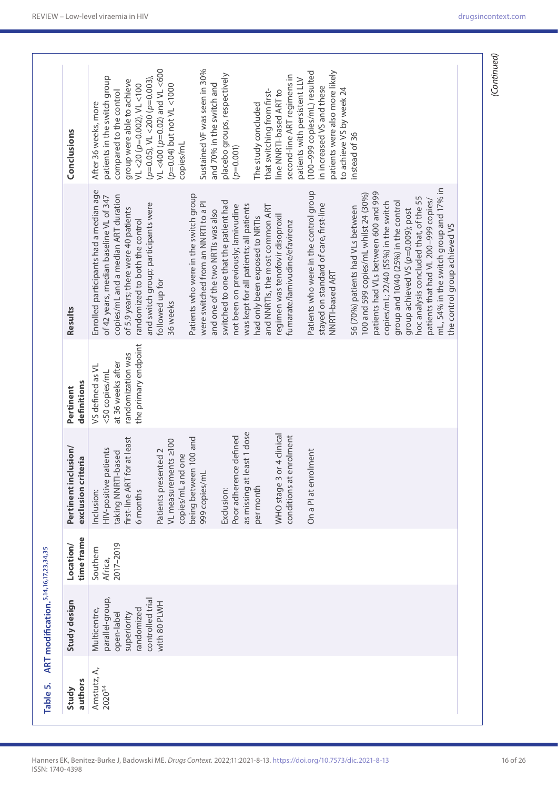| Study design                                                 | time frame<br>Location/          | Pertinent inclusion/<br>exclusion criteria                                                  | definitions<br>Pertinent                                                    | Results                                                                                                                                                         | Conclusions                                                                                                   |
|--------------------------------------------------------------|----------------------------------|---------------------------------------------------------------------------------------------|-----------------------------------------------------------------------------|-----------------------------------------------------------------------------------------------------------------------------------------------------------------|---------------------------------------------------------------------------------------------------------------|
| parallel-group,<br>Multicentre,<br>open-label<br>superiority | 2017-2019<br>Southern<br>Africa, | at least<br>HIV-positive patients<br>taking NNRTI-based<br>first-line ART for<br>Inclusion: | randomization was<br>at 36 weeks after<br>VS defined as VL<br><50 copies/mL | Enrolled participants had a median age<br>copies/mL and a median ART duration<br>of 42 years, median baseline VL of 347<br>of 5.9 years; there were 40 patients | patients in the switch group<br>group were able to achieve<br>compared to the control<br>After 36 weeks, more |
| controlled trial<br>randomized                               |                                  | 6 months                                                                                    | the primary endpoint                                                        | and switch group; participants were<br>randomized to both the control                                                                                           | $(p=0.05)$ , VL <200 $(p=0.003)$<br>VL <20 ( $p=0.002$ ), VL <100                                             |
| with 80 PLWH                                                 |                                  | VL measurements ≥100<br>Patients presented 2                                                |                                                                             | followed up for<br>36 weeks                                                                                                                                     | VL <400 (p=0.02) and VL <600<br>(p=0.04) but not VL <1000                                                     |
|                                                              |                                  | 100 and<br>copies/mL and one<br>being between                                               |                                                                             | Patients who were in the switch group                                                                                                                           | copies/mL                                                                                                     |
|                                                              |                                  | 999 copies/mL                                                                               |                                                                             | were switched from an NNRTI to a PI<br>and one of the two NRTIs was also                                                                                        | Sustained VF was seen in 30%<br>and 70% in the switch and                                                     |
|                                                              |                                  | Exclusion:                                                                                  |                                                                             | switched to one that the patient had                                                                                                                            | placebo groups, respectively                                                                                  |
|                                                              |                                  | as missing at least 1 dose<br>Poor adherence defined                                        |                                                                             | was kept for all patients; all patients<br>not been on previously; lamivudine                                                                                   | $(p=0.001)$                                                                                                   |
|                                                              |                                  | per month                                                                                   |                                                                             | had only been exposed to NRTIs                                                                                                                                  | The study concluded                                                                                           |
|                                                              |                                  |                                                                                             |                                                                             | and NNRTIs, the most common ART                                                                                                                                 | that switching from first-                                                                                    |
|                                                              |                                  | 4 clinical<br>WHO stage 3 or                                                                |                                                                             | regimen was tenofovir disoproxil                                                                                                                                | line NNRTI-based ART to                                                                                       |
|                                                              |                                  | conditions at enrolment                                                                     |                                                                             | fumarate/lamivudine/efavirenz                                                                                                                                   | second-line ART regimens in<br>patients with persistent LLV                                                   |
|                                                              |                                  | On a PI at enrolment                                                                        |                                                                             | Patients who were in the control group                                                                                                                          | (100-999 copies/mL) resulted                                                                                  |
|                                                              |                                  |                                                                                             |                                                                             | stayed on standard of care, first-line                                                                                                                          | in increased VS and these                                                                                     |
|                                                              |                                  |                                                                                             |                                                                             | NNRTI-based ART                                                                                                                                                 | patients were also more likely                                                                                |
|                                                              |                                  |                                                                                             |                                                                             |                                                                                                                                                                 | to achieve VS by week 24                                                                                      |
|                                                              |                                  |                                                                                             |                                                                             | 56 (70%) patients had VLs between                                                                                                                               | instead of 36                                                                                                 |
|                                                              |                                  |                                                                                             |                                                                             | 100 and 599 copies/mL whilst 24 (30%)                                                                                                                           |                                                                                                               |
|                                                              |                                  |                                                                                             |                                                                             | patients had VLs between 600 and 999                                                                                                                            |                                                                                                               |
|                                                              |                                  |                                                                                             |                                                                             | copies/mL; 22/40 (55%) in the switch                                                                                                                            |                                                                                                               |
|                                                              |                                  |                                                                                             |                                                                             | group and 10/40 (25%) in the control                                                                                                                            |                                                                                                               |
|                                                              |                                  |                                                                                             |                                                                             | group achieved VS (p=0.009); post                                                                                                                               |                                                                                                               |
|                                                              |                                  |                                                                                             |                                                                             | hoc analysis concluded that, of the 55                                                                                                                          |                                                                                                               |
|                                                              |                                  |                                                                                             |                                                                             | patients that had VL 200-999 copies/                                                                                                                            |                                                                                                               |
|                                                              |                                  |                                                                                             |                                                                             | mL, 54% in the switch group and 17% in                                                                                                                          |                                                                                                               |
|                                                              |                                  |                                                                                             |                                                                             | the control group achieved VS                                                                                                                                   |                                                                                                               |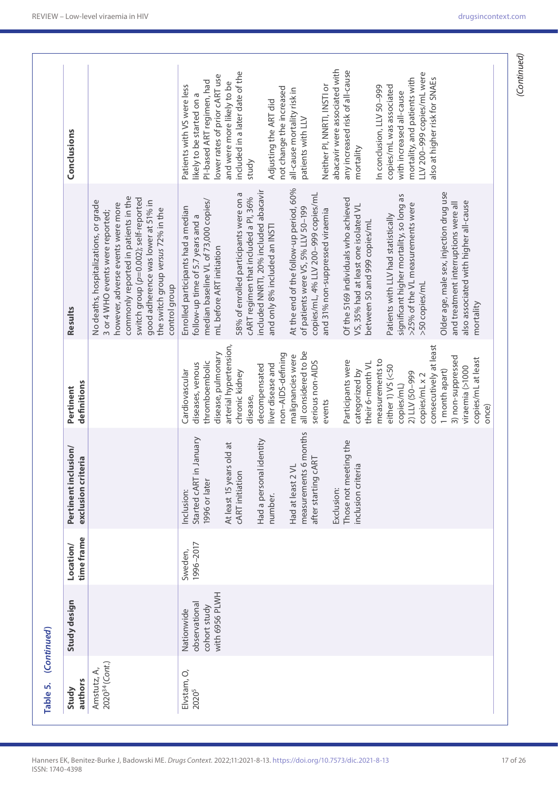| Table 5.                                  | (Continued)                                                   |                         |                                                                                                                                                                                                                                                                                                 |                                                                                                                                                                                                                                                                                                                                                                                                                                                                                                                                                 |                                                                                                                                                                                                                                                                                                                                                                                                                                                                                                                                                                                                                                                                                                                                                                                                                                                                     |                                                                                                                                                                                                                                                                                                                                                                                                                                                                                                                                                                                                              |
|-------------------------------------------|---------------------------------------------------------------|-------------------------|-------------------------------------------------------------------------------------------------------------------------------------------------------------------------------------------------------------------------------------------------------------------------------------------------|-------------------------------------------------------------------------------------------------------------------------------------------------------------------------------------------------------------------------------------------------------------------------------------------------------------------------------------------------------------------------------------------------------------------------------------------------------------------------------------------------------------------------------------------------|---------------------------------------------------------------------------------------------------------------------------------------------------------------------------------------------------------------------------------------------------------------------------------------------------------------------------------------------------------------------------------------------------------------------------------------------------------------------------------------------------------------------------------------------------------------------------------------------------------------------------------------------------------------------------------------------------------------------------------------------------------------------------------------------------------------------------------------------------------------------|--------------------------------------------------------------------------------------------------------------------------------------------------------------------------------------------------------------------------------------------------------------------------------------------------------------------------------------------------------------------------------------------------------------------------------------------------------------------------------------------------------------------------------------------------------------------------------------------------------------|
| authors<br>Study                          | Study design                                                  | time frame<br>Location/ | Pertinent inclusion/<br>exclusion criteria                                                                                                                                                                                                                                                      | definitions<br>Pertinent                                                                                                                                                                                                                                                                                                                                                                                                                                                                                                                        | Results                                                                                                                                                                                                                                                                                                                                                                                                                                                                                                                                                                                                                                                                                                                                                                                                                                                             | Conclusions                                                                                                                                                                                                                                                                                                                                                                                                                                                                                                                                                                                                  |
| 2020 <sup>34</sup> (Cont.)<br>Amstutz, A, |                                                               |                         |                                                                                                                                                                                                                                                                                                 |                                                                                                                                                                                                                                                                                                                                                                                                                                                                                                                                                 | commonly reported in patients in the<br>switch group (p=0.002); self-reported<br>No deaths, hospitalizations, or grade<br>good adherence was lower at 51% in<br>however, adverse events were more<br>the switch group versus 72% in the<br>3 or 4 WHO events were reported;<br>control group                                                                                                                                                                                                                                                                                                                                                                                                                                                                                                                                                                        |                                                                                                                                                                                                                                                                                                                                                                                                                                                                                                                                                                                                              |
| Elvstam, O,<br>2020 <sup>5</sup>          | with 6956 PLWH<br>observational<br>cohort study<br>Nationwide | 1996-2017<br>Sweden,    | measurements 6 months<br>Started cART in January<br>Had a personal identity<br>Those not meeting the<br>At least 15 years old at<br><b>ART</b><br>Had at least 2 VL<br>inclusion criteria<br><b>CART</b> initiation<br>after starting c<br>1996 or later<br>Exclusion:<br>Inclusion:<br>number. | arterial hypertension,<br>consecutively at least<br>all considered to be<br>disease, pulmonary<br>non-AIDS-defining<br>malignancies were<br>3) non-suppressed<br>copies/mL at least<br>measurements to<br>Participants were<br>thromboembolic<br>serious non-AIDS<br>their 6-month VL<br>diseases, venous<br>liver disease and<br>decompensated<br>either 1) VS (<50<br>viraemia (>1000<br>categorized by<br>1 month apart)<br>Cardiovascular<br>chronic kidney<br>2) LLV (50-999<br>copies/mL x 2<br>copies/mL)<br>disease,<br>events<br>once) | At the end of the follow-up period, 60%<br>included NNRTI, 20% included abacavir<br>Older age, male sex, injection drug use<br>58% of enrolled participants were on a<br>copies/mL, 4% LLV 200-999 copies/mL<br>significant higher mortality, so long as<br>cART regimen that included a Pl, 36%<br>Of the 5169 individuals who achieved<br>median baseline VL of 73,000 copies/<br>also associated with higher all-cause<br>and treatment interruptions were all<br>>25% of the VL measurements were<br>VS, 35% had at least one isolated VL<br>of patients were VS, 5% LLV 50-199<br>Enrolled participants had a median<br>and 31% non-suppressed viraemia<br>Patients with LLV had statistically<br>follow-up time of 5.7 years and a<br>between 50 and 999 copies/mL<br>and only 8% included an INSTI<br>mL before ART initiation<br>>50 copies/mL<br>mortality | abacavir were associated with<br>any increased risk of all-cause<br>included in a later date of the<br>LLV 200-999 copies/mL were<br>lower rates of prior cART use<br>mortality, and patients with<br>also at higher risk for SNAEs<br>PI-based ART regimen, had<br>and were more likely to be<br>Neither PI, NNRTI, INSTI or<br>copies/mL was associated<br>Patients with VS were less<br>In conclusion, LLV 50-999<br>not change the increased<br>all-cause mortality risk in<br>with increased all-cause<br>likely to be started on a<br>Adjusting the ART did<br>patients with LLV<br>mortality<br>study |
|                                           |                                                               |                         |                                                                                                                                                                                                                                                                                                 |                                                                                                                                                                                                                                                                                                                                                                                                                                                                                                                                                 |                                                                                                                                                                                                                                                                                                                                                                                                                                                                                                                                                                                                                                                                                                                                                                                                                                                                     |                                                                                                                                                                                                                                                                                                                                                                                                                                                                                                                                                                                                              |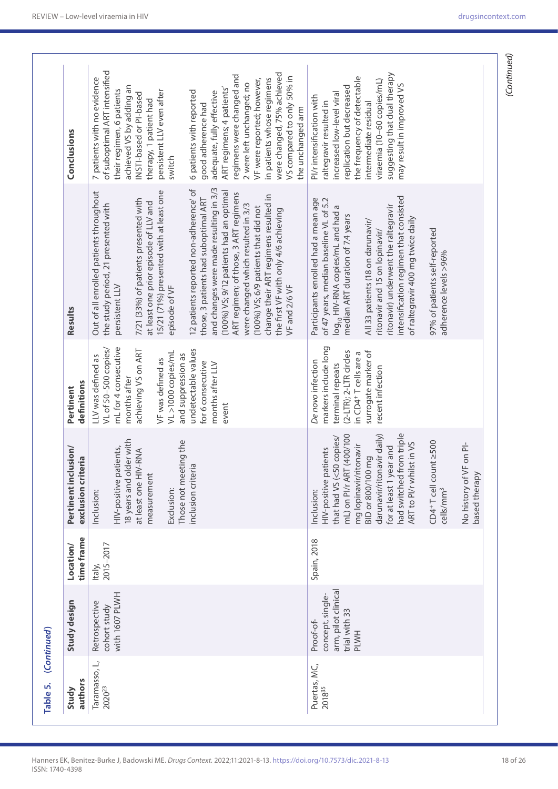| Study                               | Study design                                                                         | Location/           | Pertinent inclusion/                                                                                                                                                                                                                                                                                                                                                | Pertinent                                                                                                                                                                                                                                           | Results                                                                                                                                                                                                                                                                                                                                                                                                                                                                                                                                                                                                                                        | Conclusions                                                                                                                                                                                                                                                                                                                                                                                                                                                                                                                          |
|-------------------------------------|--------------------------------------------------------------------------------------|---------------------|---------------------------------------------------------------------------------------------------------------------------------------------------------------------------------------------------------------------------------------------------------------------------------------------------------------------------------------------------------------------|-----------------------------------------------------------------------------------------------------------------------------------------------------------------------------------------------------------------------------------------------------|------------------------------------------------------------------------------------------------------------------------------------------------------------------------------------------------------------------------------------------------------------------------------------------------------------------------------------------------------------------------------------------------------------------------------------------------------------------------------------------------------------------------------------------------------------------------------------------------------------------------------------------------|--------------------------------------------------------------------------------------------------------------------------------------------------------------------------------------------------------------------------------------------------------------------------------------------------------------------------------------------------------------------------------------------------------------------------------------------------------------------------------------------------------------------------------------|
| authors                             |                                                                                      | time frame          | exclusion criteria                                                                                                                                                                                                                                                                                                                                                  | definitions                                                                                                                                                                                                                                         |                                                                                                                                                                                                                                                                                                                                                                                                                                                                                                                                                                                                                                                |                                                                                                                                                                                                                                                                                                                                                                                                                                                                                                                                      |
| Taramasso, L,<br>2020 <sup>23</sup> | with 1607 PLWH<br>Retrospective<br>cohort study                                      | 2015-2017<br>Italy, | 18 years and older with<br>Those not meeting the<br>HIV-positive patients,<br>at least one HIV-RNA<br>inclusion criteria<br>measurement<br>Exclusion:<br>Inclusion:                                                                                                                                                                                                 | mL for 4 consecutive<br>VL of 50-500 copies/<br>undetectable values<br>achieving VS on ART<br>VL >1000 copies/mL<br>and suppression as<br>LLV was defined as<br>VF was defined as<br>for 6 consecutive<br>months after LLV<br>months after<br>event | and changes were made resulting in 3/3<br>12 patients reported non-adherence' of<br>(100%) VS; 9/12 patients had an optimal<br>15/21 (71%) presented with at least one<br>Out of all enrolled patients throughout<br>ART regimen; of those, 3 ART regimens<br>change their ART regimens resulted in<br>those, 3 patients had suboptimal ART<br>7/21 (33%) of patients presented with<br>at least one prior episode of LLV and<br>were changed which resulted in 3/3<br>the study period, 21 presented with<br>(100%) VS; 6/9 patients that did not<br>the first VF with only 4/6 achieving<br>persistent LLV<br>VF and 2/6 VF<br>episode of VF | of suboptimal ART intensified<br>were changed, 75% achieved<br>regimens were changed and<br>VS compared to only 50% in<br>7 patients with no evidence<br>in patients whose regimens<br>VF were reported; however,<br>2 were left unchanged; no<br>achieved VS by adding an<br>ART regimens; 4 patients'<br>their regimen, 6 patients<br>persistent LLV even after<br>6 patients with reported<br>adequate, fully effective<br>INSTI-based or PI-based<br>therapy, 1 patient had<br>good adherence had<br>the unchanged arm<br>switch |
| Puertas, MC,<br>2018 <sup>35</sup>  | arm, pilot clinical<br>concept, single-<br>trial with 33<br>Proof-of-<br><b>PLWH</b> | Spain, 2018         | had switched from triple<br>mL) on PI/r ART (400/100<br>darunavir/ritonavir daily)<br>that had VS (<50 copies/<br>ART to PI/r whilst in VS<br>CD4+T cell count ≥500<br>VF on PI-<br>mg lopinavir/ritonavir<br>for at least 1 year and<br>HIV-positive patients<br><b>BID or 800/100 mg</b><br>based therapy<br>No history of<br>cells/mm <sup>3</sup><br>Inclusion: | markers include long<br>(2-LTR); 2-LTR circles<br>surrogate marker of<br>in CD4 <sup>+</sup> T cells are a<br>De novo infection<br>terminal repeats<br>recent infection                                                                             | intensification regimen that consisted<br>Participants enrolled had a mean age<br>of 47 years, median baseline VL of 5.2<br>log <sub>10</sub> HIV-RNA copies/mL and had a<br>ritonavir) underwent the raltegravir<br>median ART duration of 7.4 years<br>of raltegravir 400 mg twice daily<br>All 33 patients (18 on darunavir/<br>97% of patients self-reported<br>ritonavir and 15 on lopinavir/<br>adherence levels >96%                                                                                                                                                                                                                    | suggesting that dual therapy<br>the frequency of detectable<br>viraemia (10-60 copies/mL)<br>may result in improved VS<br>replication but decreased<br>increased low-level viral<br>PI/r intensification with<br>raltegravir resulted in<br>intermediate residual                                                                                                                                                                                                                                                                    |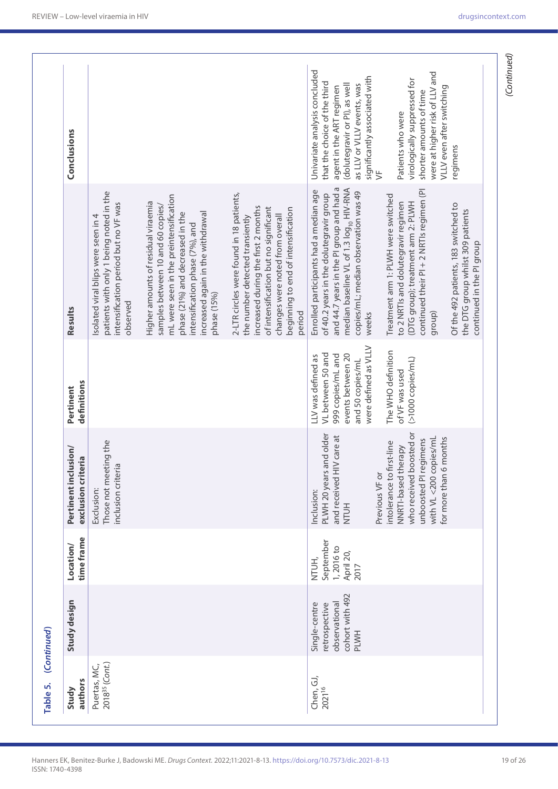| Conclusions                                |                                                                                                                                    |                                                                                                                                                                                                                                               |                                                                                                                                                                                                                                                 | Univariate analysis concluded<br>significantly associated with<br>that the choice of the third<br>as LLV or VLLV events, was<br>(dolutegravir or PI), as well<br>agent in the ART regimen<br>$\overline{5}$                           | were at higher risk of LLV and<br>virologically suppressed for<br>VLLV even after switching<br>shorter amounts of time<br>Patients who were                            | regimens                                                                                               |
|--------------------------------------------|------------------------------------------------------------------------------------------------------------------------------------|-----------------------------------------------------------------------------------------------------------------------------------------------------------------------------------------------------------------------------------------------|-------------------------------------------------------------------------------------------------------------------------------------------------------------------------------------------------------------------------------------------------|---------------------------------------------------------------------------------------------------------------------------------------------------------------------------------------------------------------------------------------|------------------------------------------------------------------------------------------------------------------------------------------------------------------------|--------------------------------------------------------------------------------------------------------|
| Results                                    | patients with only 1 being noted in the<br>intensification period but no VF was<br>Isolated viral blips were seen in 4<br>observed | mL were seen in the preintensification<br>Higher amounts of residual viraemia<br>samples between 10 and 60 copies/<br>increased again in the withdrawal<br>phase (21%) and decreased in the<br>intensification phase (7%), and<br>phase (15%) | 2-LTR circles were found in 18 patients,<br>increased during the first 2 months<br>of intensification but no significant<br>beginning to end of intensification<br>changes were noted from overall<br>the number detected transiently<br>period | and 44.7 years in the PI group and had a<br>median baseline VL of 1.3 log <sub>10</sub> HIV-RNA<br>Enrolled participants had a median age<br>copies/mL; median observation was 49<br>of 40.2 years in the dolutegravir group<br>weeks | continued their PI + 2 NRTIs regimen (PI<br>Treatment arm 1: PLWH were switched<br>to 2 NRTIs and dolutegravir regimen<br>(DTG group); treatment arm 2: PLWH<br>group) | Of the 492 patients, 183 switched to<br>the DTG group whilst 309 patients<br>continued in the PI group |
| definitions<br>Pertinent                   |                                                                                                                                    |                                                                                                                                                                                                                                               |                                                                                                                                                                                                                                                 | were defined as VLLV<br>VL between 50 and<br>999 copies/mL and<br>events between 20<br>LLV was defined as<br>and 50 copies/mL                                                                                                         | The WHO definition<br>$(51000$ copies/mL)<br>of VF was used                                                                                                            |                                                                                                        |
| Pertinent inclusion/<br>exclusion criteria | Those not meeting the<br>inclusion criteria<br>Exclusion:                                                                          |                                                                                                                                                                                                                                               |                                                                                                                                                                                                                                                 | PLWH 20 years and older<br>and received HIV care at<br>Previous VF or<br>Inclusion:<br><b>NTUH</b>                                                                                                                                    | who received boosted or<br>with VL <200 copies/mL<br>for more than 6 months<br>unboosted PI regimens<br>intolerance to first-line<br>NNRTI-based therapy               |                                                                                                        |
| time frame<br>Location/                    |                                                                                                                                    |                                                                                                                                                                                                                                               |                                                                                                                                                                                                                                                 | September<br>1,2016 to<br>April 20,<br>NTUH,<br>2017                                                                                                                                                                                  |                                                                                                                                                                        |                                                                                                        |
| Study design                               |                                                                                                                                    |                                                                                                                                                                                                                                               |                                                                                                                                                                                                                                                 | cohort with 492<br>observational<br>Single-centre<br>retrospective<br><b>PLWH</b>                                                                                                                                                     |                                                                                                                                                                        |                                                                                                        |
| authors<br>Study                           | 2018 <sup>35</sup> (Cont.)<br>Puertas, MC,                                                                                         |                                                                                                                                                                                                                                               |                                                                                                                                                                                                                                                 | Chen, GJ,<br>2021 <sup>16</sup>                                                                                                                                                                                                       |                                                                                                                                                                        |                                                                                                        |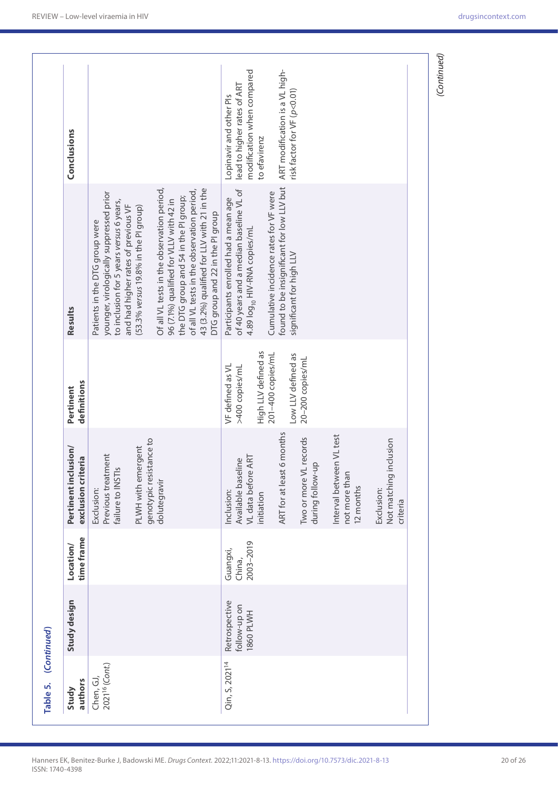|                                         |                                                   | time frame<br>Location/         | Pertinent inclusion/<br>exclusion criteria                             | definitions                              | Results                                                                                                                                                                                                                                                        |                                                                                      |
|-----------------------------------------|---------------------------------------------------|---------------------------------|------------------------------------------------------------------------|------------------------------------------|----------------------------------------------------------------------------------------------------------------------------------------------------------------------------------------------------------------------------------------------------------------|--------------------------------------------------------------------------------------|
| 2021 <sup>16</sup> (Cont.)<br>Chen, GJ, |                                                   |                                 | Previous treatment<br>$\overline{a}$<br>failure to INSTI<br>Exclusion: |                                          | younger, virologically suppressed prior<br>to inclusion for 5 years versus 6 years,<br>and had higher rates of previous VF<br>Patients in the DTG group were                                                                                                   |                                                                                      |
|                                         |                                                   |                                 | genotypic resistance to<br>PLWH with emergent                          |                                          | (53.3% versus 19.8% in the PI group)                                                                                                                                                                                                                           |                                                                                      |
|                                         |                                                   |                                 | dolutegravir                                                           |                                          | 43 (3.2%) qualified for LLV with 21 in the<br>Of all VL tests in the observation period,<br>of all VL tests in the observation period,<br>the DTG group and 54 in the PI group;<br>96 (7.1%) qualified for VLLV with 42 in<br>DTG group and 22 in the PI group |                                                                                      |
| Qin, S, 2021 <sup>14</sup>              | Retrospective<br>follow-up on<br><b>HW1d 0981</b> | 2003-2019<br>Guangxi,<br>China, | VL data before ART<br>Available baseline<br>Inclusion:                 | VF defined as VL<br>>400 copies/mL       | of 40 years and a median baseline VL of<br>Participants enrolled had a mean age<br>4.89 log <sub>10</sub> HIV-RNA copies/mL                                                                                                                                    | modification when compared<br>lead to higher rates of ART<br>Lopinavir and other Pls |
|                                         |                                                   |                                 | initiation                                                             | High LLV defined as<br>201-400 copies/mL | Cumulative incidence rates for VF were                                                                                                                                                                                                                         | to efavirenz                                                                         |
|                                         |                                                   |                                 | ART for at least 6 months                                              | Low LLV defined as                       | found to be insignificant for low LLV but<br>significant for high LLV                                                                                                                                                                                          | ART modification is a VL high-<br>risk factor for VF (p<0.01)                        |
|                                         |                                                   |                                 | Two or more VL records<br>during follow-up                             | 20-200 copies/mL                         |                                                                                                                                                                                                                                                                |                                                                                      |
|                                         |                                                   |                                 | Interval between VL test<br>not more than<br>12 months                 |                                          |                                                                                                                                                                                                                                                                |                                                                                      |
|                                         |                                                   |                                 | inclusion<br>Not matching<br>Exclusion:<br>criteria                    |                                          |                                                                                                                                                                                                                                                                |                                                                                      |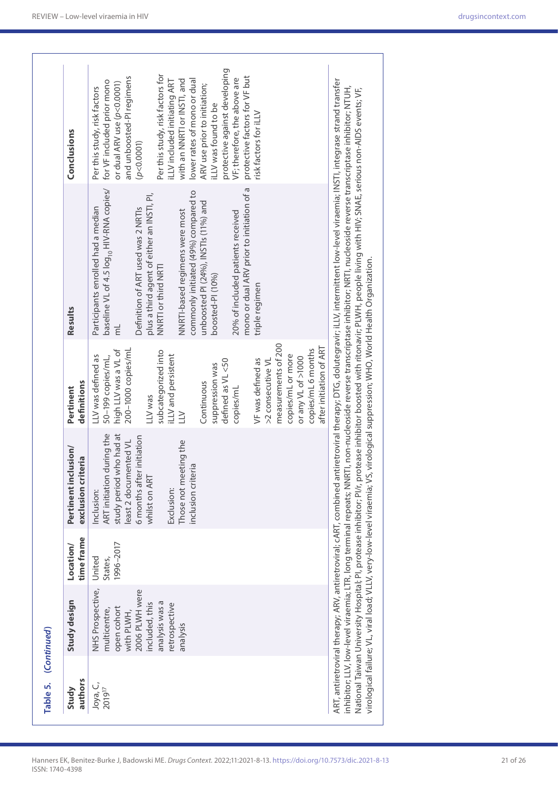| Table 5. (Continued) |                                                                                                                                                  |                                |                                                                                                                                                                                                       |                                                                                                                                                                                                                                                                                                                                                                                          |                                                                                                                                                                                                                                                                                                                                                                                                                                                                                                                                                         |                                                                                                                                                                                                                                                                                                                                                                                                                                                         |
|----------------------|--------------------------------------------------------------------------------------------------------------------------------------------------|--------------------------------|-------------------------------------------------------------------------------------------------------------------------------------------------------------------------------------------------------|------------------------------------------------------------------------------------------------------------------------------------------------------------------------------------------------------------------------------------------------------------------------------------------------------------------------------------------------------------------------------------------|---------------------------------------------------------------------------------------------------------------------------------------------------------------------------------------------------------------------------------------------------------------------------------------------------------------------------------------------------------------------------------------------------------------------------------------------------------------------------------------------------------------------------------------------------------|---------------------------------------------------------------------------------------------------------------------------------------------------------------------------------------------------------------------------------------------------------------------------------------------------------------------------------------------------------------------------------------------------------------------------------------------------------|
| authors<br>Study     | Study design                                                                                                                                     | time frame<br>Location/        | Pertinent inclusion/<br>exclusion criteria                                                                                                                                                            | definitions<br>Pertinent                                                                                                                                                                                                                                                                                                                                                                 | Results                                                                                                                                                                                                                                                                                                                                                                                                                                                                                                                                                 | Conclusions                                                                                                                                                                                                                                                                                                                                                                                                                                             |
| Joya, C,<br>201917   | NHS Prospective,<br>2006 PLWH were<br>analysis was a<br>included, this<br>retrospective<br>open cohort<br>multicentre,<br>with PLWH,<br>analysis | 1996-2017<br>United<br>States, | ART initiation during the<br>study period who had at<br>6 months after initiation<br>least 2 documented VL<br>Those not meeting the<br>nclusion criteria<br>whilst on ART<br>Exclusion:<br>Inclusion: | measurements of 200<br>after initiation of ART<br>copies/mL 6 months<br>200-1000 copies/mL<br>high LLV was a VL of<br>subcategorized into<br>iLLV and persistent<br>copies/mL or more<br>LLV was defined as<br>50-199 copies/mL,<br>or any VL of >1000<br>VF was defined as<br>defined as VL <50<br>>2 consecutive VL<br>suppression was<br>Continuous<br>copies/mL<br>-LV was<br>$\geq$ | baseline VL of 4.5 log <sub>10</sub> HIV-RNA copies/<br>mono or dual ARV prior to initiation of a<br>commonly initiated (49%) compared to<br>plus a third agent of either an INSTI, PI,<br>unboosted PI (24%), INSTIs (11%) and<br>Participants enrolled had a median<br>Definition of ART used was 2 NRTIs<br>NNRTI-based regimens were most<br>20% of included patients received<br>NNRTI or third NRTI<br>boosted-PI (10%)<br>triple regimen<br>$\overline{\overline{\epsilon}}$                                                                     | protective against developing<br>Per this study, risk factors for<br>protective factors for VF but<br>and unboosted-PI regimens<br>VF; therefore, the above are<br>with an NNRTI or INSTI, and<br>ILLV included initiating ART<br>lower rates of mono or dual<br>for VF included prior mono<br>or dual ARV use (p<0.0001)<br>ARV use prior to initiation;<br>Per this study, risk factors<br>LLV was found to be<br>risk factors for iLLV<br>(p<0.0001) |
|                      |                                                                                                                                                  |                                | virological failure; VL, viral load; VLLV, very-low-level viraemia; VS, virological suppression; WHO, World Health Organization.                                                                      |                                                                                                                                                                                                                                                                                                                                                                                          | ART, antiretroviral therapy; ARV, antiretroviral; cART, combined antiretroviral therapy; DTG, dolutegravir, iLLV, intermittent low-level viraemia; INSTI, integrase strand transfer<br>inhibitor; LLV, low-level viraemia; LTR, long terminal repeats; NNRTI, non-nucleoside reverse transcriptase inhibitor; NRTI, nucleoside reverse transcriptase inhibitor; NTUH,<br>National Taiwan University Hospital; PI, protease inhibitor; PI/r, protease inhibitor boosted with ritonavir; PLWH, people living with HIV; SNAE, serious non-AIDS events; VF, |                                                                                                                                                                                                                                                                                                                                                                                                                                                         |

ISSN: 1740-4398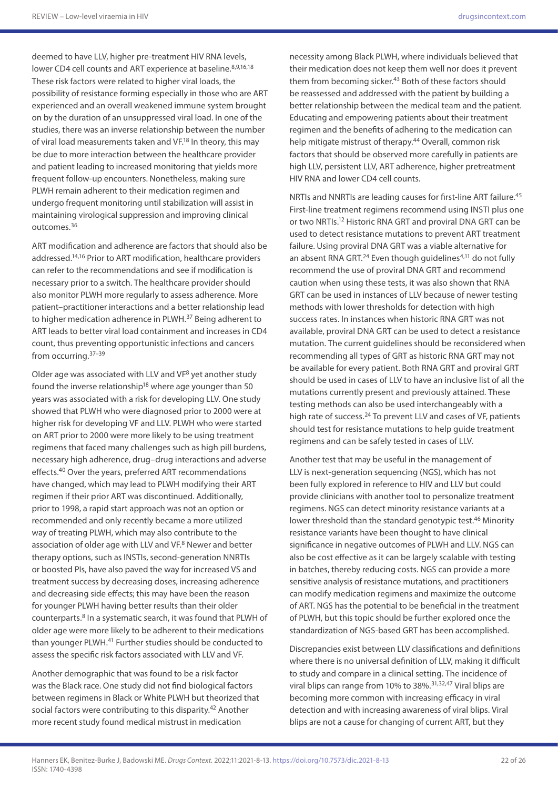deemed to have LLV, higher pre-treatment HIV RNA levels, lower CD4 cell counts and ART experience at baseline.<sup>8,9,16,18</sup> These risk factors were related to higher viral loads, the possibility of resistance forming especially in those who are ART experienced and an overall weakened immune system brought on by the duration of an unsuppressed viral load. In one of the studies, there was an inverse relationship between the number of viral load measurements taken and VF.18 In theory, this may be due to more interaction between the healthcare provider and patient leading to increased monitoring that yields more frequent follow-up encounters. Nonetheless, making sure PLWH remain adherent to their medication regimen and undergo frequent monitoring until stabilization will assist in maintaining virological suppression and improving clinical outcomes.36

ART modification and adherence are factors that should also be addressed.14,16 Prior to ART modification, healthcare providers can refer to the recommendations and see if modification is necessary prior to a switch. The healthcare provider should also monitor PLWH more regularly to assess adherence. More patient–practitioner interactions and a better relationship lead to higher medication adherence in PLWH.37 Being adherent to ART leads to better viral load containment and increases in CD4 count, thus preventing opportunistic infections and cancers from occurring.37–39

Older age was associated with LLV and VF8 yet another study found the inverse relationship<sup>18</sup> where age younger than 50 years was associated with a risk for developing LLV. One study showed that PLWH who were diagnosed prior to 2000 were at higher risk for developing VF and LLV. PLWH who were started on ART prior to 2000 were more likely to be using treatment regimens that faced many challenges such as high pill burdens, necessary high adherence, drug–drug interactions and adverse effects.40 Over the years, preferred ART recommendations have changed, which may lead to PLWH modifying their ART regimen if their prior ART was discontinued. Additionally, prior to 1998, a rapid start approach was not an option or recommended and only recently became a more utilized way of treating PLWH, which may also contribute to the association of older age with LLV and VF.<sup>8</sup> Newer and better therapy options, such as INSTIs, second-generation NNRTIs or boosted PIs, have also paved the way for increased VS and treatment success by decreasing doses, increasing adherence and decreasing side effects; this may have been the reason for younger PLWH having better results than their older counterparts.8 In a systematic search, it was found that PLWH of older age were more likely to be adherent to their medications than younger PLWH.<sup>41</sup> Further studies should be conducted to assess the specific risk factors associated with LLV and VF.

Another demographic that was found to be a risk factor was the Black race. One study did not find biological factors between regimens in Black or White PLWH but theorized that social factors were contributing to this disparity.<sup>42</sup> Another more recent study found medical mistrust in medication

necessity among Black PLWH, where individuals believed that their medication does not keep them well nor does it prevent them from becoming sicker.<sup>43</sup> Both of these factors should be reassessed and addressed with the patient by building a better relationship between the medical team and the patient. Educating and empowering patients about their treatment regimen and the benefits of adhering to the medication can help mitigate mistrust of therapy.<sup>44</sup> Overall, common risk factors that should be observed more carefully in patients are high LLV, persistent LLV, ART adherence, higher pretreatment HIV RNA and lower CD4 cell counts.

NRTIs and NNRTIs are leading causes for first-line ART failure.45 First-line treatment regimens recommend using INSTI plus one or two NRTIs.12 Historic RNA GRT and proviral DNA GRT can be used to detect resistance mutations to prevent ART treatment failure. Using proviral DNA GRT was a viable alternative for an absent RNA GRT. $^{24}$  Even though guidelines<sup>4,11</sup> do not fully recommend the use of proviral DNA GRT and recommend caution when using these tests, it was also shown that RNA GRT can be used in instances of LLV because of newer testing methods with lower thresholds for detection with high success rates. In instances when historic RNA GRT was not available, proviral DNA GRT can be used to detect a resistance mutation. The current guidelines should be reconsidered when recommending all types of GRT as historic RNA GRT may not be available for every patient. Both RNA GRT and proviral GRT should be used in cases of LLV to have an inclusive list of all the mutations currently present and previously attained. These testing methods can also be used interchangeably with a high rate of success.<sup>24</sup> To prevent LLV and cases of VF, patients should test for resistance mutations to help guide treatment regimens and can be safely tested in cases of LLV.

Another test that may be useful in the management of LLV is next-generation sequencing (NGS), which has not been fully explored in reference to HIV and LLV but could provide clinicians with another tool to personalize treatment regimens. NGS can detect minority resistance variants at a lower threshold than the standard genotypic test.<sup>46</sup> Minority resistance variants have been thought to have clinical significance in negative outcomes of PLWH and LLV. NGS can also be cost effective as it can be largely scalable with testing in batches, thereby reducing costs. NGS can provide a more sensitive analysis of resistance mutations, and practitioners can modify medication regimens and maximize the outcome of ART. NGS has the potential to be beneficial in the treatment of PLWH, but this topic should be further explored once the standardization of NGS-based GRT has been accomplished.

Discrepancies exist between LLV classifications and definitions where there is no universal definition of LLV, making it difficult to study and compare in a clinical setting. The incidence of viral blips can range from 10% to 38%.<sup>31,32,47</sup> Viral blips are becoming more common with increasing efficacy in viral detection and with increasing awareness of viral blips. Viral blips are not a cause for changing of current ART, but they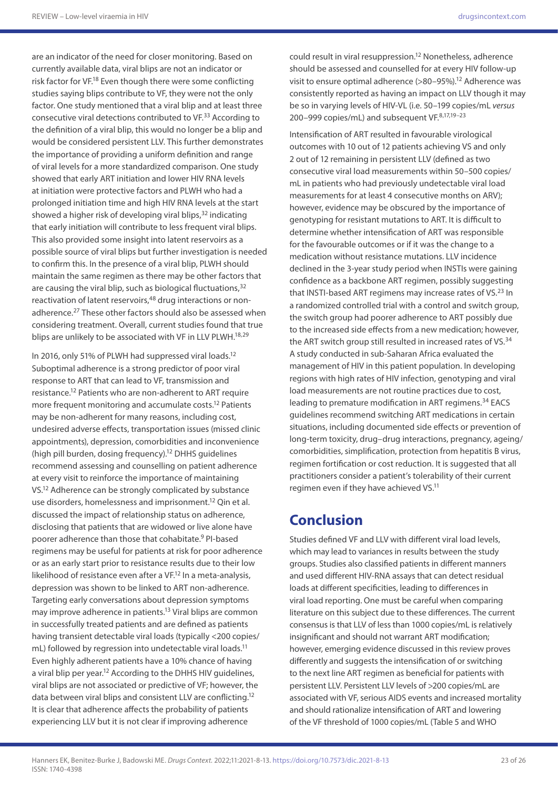are an indicator of the need for closer monitoring. Based on currently available data, viral blips are not an indicator or risk factor for VF.<sup>18</sup> Even though there were some conflicting studies saying blips contribute to VF, they were not the only factor. One study mentioned that a viral blip and at least three consecutive viral detections contributed to VF.33 According to the definition of a viral blip, this would no longer be a blip and would be considered persistent LLV. This further demonstrates the importance of providing a uniform definition and range of viral levels for a more standardized comparison. One study showed that early ART initiation and lower HIV RNA levels at initiation were protective factors and PLWH who had a prolonged initiation time and high HIV RNA levels at the start showed a higher risk of developing viral blips,<sup>32</sup> indicating that early initiation will contribute to less frequent viral blips. This also provided some insight into latent reservoirs as a possible source of viral blips but further investigation is needed to confirm this. In the presence of a viral blip, PLWH should maintain the same regimen as there may be other factors that are causing the viral blip, such as biological fluctuations,  $32$ reactivation of latent reservoirs,<sup>48</sup> drug interactions or nonadherence.<sup>27</sup> These other factors should also be assessed when considering treatment. Overall, current studies found that true blips are unlikely to be associated with VF in LLV PLWH.<sup>18,29</sup>

In 2016, only 51% of PLWH had suppressed viral loads.12 Suboptimal adherence is a strong predictor of poor viral response to ART that can lead to VF, transmission and resistance.12 Patients who are non-adherent to ART require more frequent monitoring and accumulate costs.12 Patients may be non-adherent for many reasons, including cost, undesired adverse effects, transportation issues (missed clinic appointments), depression, comorbidities and inconvenience (high pill burden, dosing frequency).12 DHHS guidelines recommend assessing and counselling on patient adherence at every visit to reinforce the importance of maintaining VS.12 Adherence can be strongly complicated by substance use disorders, homelessness and imprisonment.12 Qin et al. discussed the impact of relationship status on adherence, disclosing that patients that are widowed or live alone have poorer adherence than those that cohabitate.9 PI-based regimens may be useful for patients at risk for poor adherence or as an early start prior to resistance results due to their low likelihood of resistance even after a VF.12 In a meta-analysis, depression was shown to be linked to ART non-adherence. Targeting early conversations about depression symptoms may improve adherence in patients.13 Viral blips are common in successfully treated patients and are defined as patients having transient detectable viral loads (typically <200 copies/ mL) followed by regression into undetectable viral loads.<sup>11</sup> Even highly adherent patients have a 10% chance of having a viral blip per year.<sup>12</sup> According to the DHHS HIV guidelines, viral blips are not associated or predictive of VF; however, the data between viral blips and consistent LLV are conflicting.12 It is clear that adherence affects the probability of patients experiencing LLV but it is not clear if improving adherence

could result in viral resuppression.12 Nonetheless, adherence should be assessed and counselled for at every HIV follow-up visit to ensure optimal adherence (>80–95%).12 Adherence was consistently reported as having an impact on LLV though it may be so in varying levels of HIV-VL (i.e. 50–199 copies/mL *versus* 200-999 copies/mL) and subsequent VF.<sup>8,17,19-23</sup>

Intensification of ART resulted in favourable virological outcomes with 10 out of 12 patients achieving VS and only 2 out of 12 remaining in persistent LLV (defined as two consecutive viral load measurements within 50–500 copies/ mL in patients who had previously undetectable viral load measurements for at least 4 consecutive months on ARV); however, evidence may be obscured by the importance of genotyping for resistant mutations to ART. It is difficult to determine whether intensification of ART was responsible for the favourable outcomes or if it was the change to a medication without resistance mutations. LLV incidence declined in the 3-year study period when INSTIs were gaining confidence as a backbone ART regimen, possibly suggesting that INSTI-based ART regimens may increase rates of VS.<sup>23</sup> In a randomized controlled trial with a control and switch group, the switch group had poorer adherence to ART possibly due to the increased side effects from a new medication; however, the ART switch group still resulted in increased rates of VS.<sup>34</sup> A study conducted in sub-Saharan Africa evaluated the management of HIV in this patient population. In developing regions with high rates of HIV infection, genotyping and viral load measurements are not routine practices due to cost, leading to premature modification in ART regimens.<sup>34</sup> EACS guidelines recommend switching ART medications in certain situations, including documented side effects or prevention of long-term toxicity, drug–drug interactions, pregnancy, ageing/ comorbidities, simplification, protection from hepatitis B virus, regimen fortification or cost reduction. It is suggested that all practitioners consider a patient's tolerability of their current regimen even if they have achieved VS.<sup>11</sup>

## **Conclusion**

Studies defined VF and LLV with different viral load levels, which may lead to variances in results between the study groups. Studies also classified patients in different manners and used different HIV-RNA assays that can detect residual loads at different specificities, leading to differences in viral load reporting. One must be careful when comparing literature on this subject due to these differences. The current consensus is that LLV of less than 1000 copies/mL is relatively insignificant and should not warrant ART modification; however, emerging evidence discussed in this review proves differently and suggests the intensification of or switching to the next line ART regimen as beneficial for patients with persistent LLV. Persistent LLV levels of >200 copies/mL are associated with VF, serious AIDS events and increased mortality and should rationalize intensification of ART and lowering of the VF threshold of 1000 copies/mL (Table 5 and WHO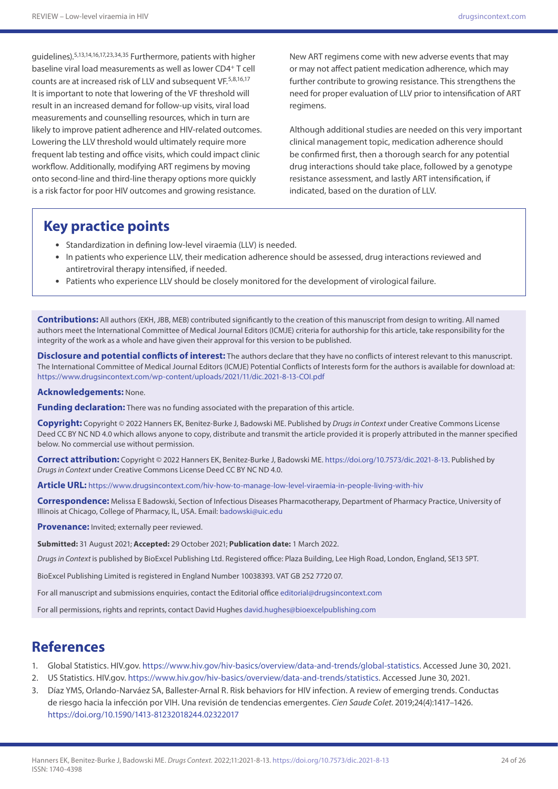guidelines).5,13,14,16,17,23,34,35 Furthermore, patients with higher baseline viral load measurements as well as lower CD4+ T cell counts are at increased risk of LLV and subsequent VF.<sup>5,8,16,17</sup> It is important to note that lowering of the VF threshold will result in an increased demand for follow-up visits, viral load measurements and counselling resources, which in turn are likely to improve patient adherence and HIV-related outcomes. Lowering the LLV threshold would ultimately require more frequent lab testing and office visits, which could impact clinic workflow. Additionally, modifying ART regimens by moving onto second-line and third-line therapy options more quickly is a risk factor for poor HIV outcomes and growing resistance.

New ART regimens come with new adverse events that may or may not affect patient medication adherence, which may further contribute to growing resistance. This strengthens the need for proper evaluation of LLV prior to intensification of ART regimens.

Although additional studies are needed on this very important clinical management topic, medication adherence should be confirmed first, then a thorough search for any potential drug interactions should take place, followed by a genotype resistance assessment, and lastly ART intensification, if indicated, based on the duration of LLV.

## **Key practice points**

- Standardization in defining low-level viraemia (LLV) is needed.
- In patients who experience LLV, their medication adherence should be assessed, drug interactions reviewed and antiretroviral therapy intensified, if needed.
- Patients who experience LLV should be closely monitored for the development of virological failure.

**Contributions:** All authors (EKH, JBB, MEB) contributed significantly to the creation of this manuscript from design to writing. All named authors meet the International Committee of Medical Journal Editors (ICMJE) criteria for authorship for this article, take responsibility for the integrity of the work as a whole and have given their approval for this version to be published.

**Disclosure and potential conflicts of interest:** The authors declare that they have no conflicts of interest relevant to this manuscript. The International Committee of Medical Journal Editors (ICMJE) Potential Conflicts of Interests form for the authors is available for download at: <https://www.drugsincontext.com/wp-content/uploads/2021/11/dic.2021-8-13-COI.pdf>

**Acknowledgements:** None.

**Funding declaration:** There was no funding associated with the preparation of this article.

**Copyright:** Copyright © 2022 Hanners EK, Benitez-Burke J, Badowski ME. Published by *Drugs in Context* under Creative Commons License Deed CC BY NC ND 4.0 which allows anyone to copy, distribute and transmit the article provided it is properly attributed in the manner specified below. No commercial use without permission.

**Correct attribution:** Copyright © 2022 Hanners EK, Benitez-Burke J, Badowski ME. <https://doi.org/10.7573/dic.2021-8-13>. Published by *Drugs in Context* under Creative Commons License Deed CC BY NC ND 4.0.

**Article URL:** <https://www.drugsincontext.com/hiv-how-to-manage-low-level-viraemia-in-people-living-with-hiv>

**Correspondence:** Melissa E Badowski, Section of Infectious Diseases Pharmacotherapy, Department of Pharmacy Practice, University of Illinois at Chicago, College of Pharmacy, IL, USA. Email: [badowski@uic.edu](mailto:badowski@uic.edu)

**Provenance:** Invited; externally peer reviewed.

**Submitted:** 31 August 2021; **Accepted:** 29 October 2021; **Publication date:** 1 March 2022.

*Drugs in Context* is published by BioExcel Publishing Ltd. Registered office: Plaza Building, Lee High Road, London, England, SE13 5PT.

BioExcel Publishing Limited is registered in England Number 10038393. VAT GB 252 7720 07.

For all manuscript and submissions enquiries, contact the Editorial office [editorial@drugsincontext.com](mailto:editorial@drugsincontext.com)

For all permissions, rights and reprints, contact David Hughes [david.hughes@bioexcelpublishing.com](mailto:david.hughes@bioexcelpublishing.com)

## **References**

- 1. Global Statistics. HIV.gov. [https://www.hiv.gov/hiv-basics/overview/data-and-trends/global-statistics.](https://www.hiv.gov/hiv-basics/overview/data-and-trends/global-statistics) Accessed June 30, 2021.
- 2. US Statistics. HIV.gov. <https://www.hiv.gov/hiv-basics/overview/data-and-trends/statistics>. Accessed June 30, 2021.
- 3. Díaz YMS, Orlando-Narváez SA, Ballester-Arnal R. Risk behaviors for HIV infection. A review of emerging trends. Conductas de riesgo hacia la infección por VIH. Una revisión de tendencias emergentes. *Cien Saude Colet*. 2019;24(4):1417–1426. <https://doi.org/10.1590/1413-81232018244.02322017>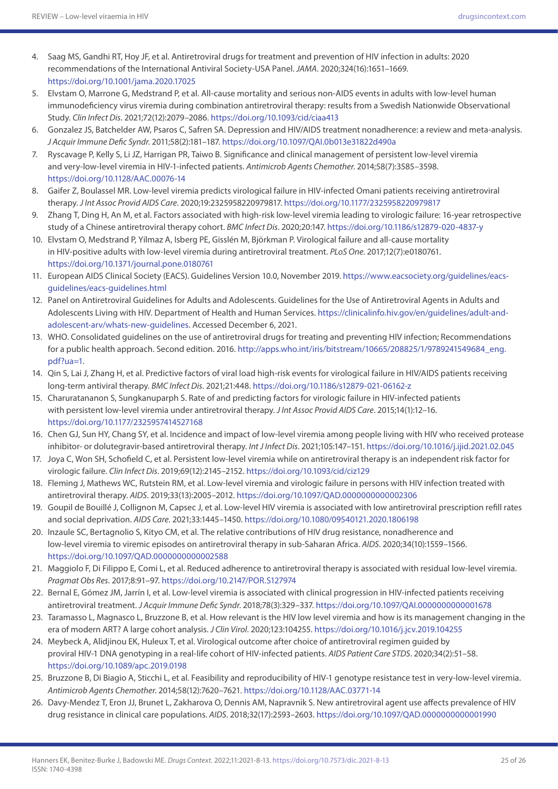- 4. Saag MS, Gandhi RT, Hoy JF, et al. Antiretroviral drugs for treatment and prevention of HIV infection in adults: 2020 recommendations of the International Antiviral Society-USA Panel. *JAMA*. 2020;324(16):1651–1669. <https://doi.org/10.1001/jama.2020.17025>
- 5. Elvstam O, Marrone G, Medstrand P, et al. All-cause mortality and serious non-AIDS events in adults with low-level human immunodeficiency virus viremia during combination antiretroviral therapy: results from a Swedish Nationwide Observational Study. *Clin Infect Dis*. 2021;72(12):2079–2086.<https://doi.org/10.1093/cid/ciaa413>
- 6. Gonzalez JS, Batchelder AW, Psaros C, Safren SA. Depression and HIV/AIDS treatment nonadherence: a review and meta-analysis. *J Acquir Immune Defic Syndr*. 2011;58(2):181–187.<https://doi.org/10.1097/QAI.0b013e31822d490a>
- 7. Ryscavage P, Kelly S, Li JZ, Harrigan PR, Taiwo B. Significance and clinical management of persistent low-level viremia and very-low-level viremia in HIV-1-infected patients. *Antimicrob Agents Chemother*. 2014;58(7):3585–3598. <https://doi.org/10.1128/AAC.00076-14>
- 8. Gaifer Z, Boulassel MR. Low-level viremia predicts virological failure in HIV-infected Omani patients receiving antiretroviral therapy. *J Int Assoc Provid AIDS Care*. 2020;19:2325958220979817.<https://doi.org/10.1177/2325958220979817>
- 9. Zhang T, Ding H, An M, et al. Factors associated with high-risk low-level viremia leading to virologic failure: 16-year retrospective study of a Chinese antiretroviral therapy cohort. *BMC Infect Dis*. 2020;20:147.<https://doi.org/10.1186/s12879-020-4837-y>
- 10. Elvstam O, Medstrand P, Yilmaz A, Isberg PE, Gisslén M, Björkman P. Virological failure and all-cause mortality in HIV-positive adults with low-level viremia during antiretroviral treatment. *PLoS One*. 2017;12(7):e0180761. <https://doi.org/10.1371/journal.pone.0180761>
- 11. European AIDS Clinical Society (EACS). Guidelines Version 10.0, November 2019. [https://www.eacsociety.org/guidelines/eacs](https://www.eacsociety.org/guidelines/eacs-guidelines/eacs-guidelines.html)[guidelines/eacs-guidelines.html](https://www.eacsociety.org/guidelines/eacs-guidelines/eacs-guidelines.html)
- 12. Panel on Antiretroviral Guidelines for Adults and Adolescents. Guidelines for the Use of Antiretroviral Agents in Adults and Adolescents Living with HIV. Department of Health and Human Services. [https://clinicalinfo.hiv.gov/en/guidelines/adult-and](https://clinicalinfo.hiv.gov/en/guidelines/adult-and-adolescent-arv/whats-new-guidelines)[adolescent-arv/whats-new-guidelines](https://clinicalinfo.hiv.gov/en/guidelines/adult-and-adolescent-arv/whats-new-guidelines). Accessed December 6, 2021.
- 13. WHO. Consolidated guidelines on the use of antiretroviral drugs for treating and preventing HIV infection; Recommendations for a public health approach. Second edition. 2016. [http://apps.who.int/iris/bitstream/10665/208825/1/9789241549684\\_eng.](http://apps.who.int/iris/bitstream/10665/208825/1/9789241549684_eng.pdf?ua=1) [pdf?ua=1](http://apps.who.int/iris/bitstream/10665/208825/1/9789241549684_eng.pdf?ua=1).
- 14. Qin S, Lai J, Zhang H, et al. Predictive factors of viral load high-risk events for virological failure in HIV/AIDS patients receiving long-term antiviral therapy. *BMC Infect Dis*. 2021;21:448. <https://doi.org/10.1186/s12879-021-06162-z>
- 15. Charuratananon S, Sungkanuparph S. Rate of and predicting factors for virologic failure in HIV-infected patients with persistent low-level viremia under antiretroviral therapy. *J Int Assoc Provid AIDS Care*. 2015;14(1):12–16. <https://doi.org/10.1177/2325957414527168>
- 16. Chen GJ, Sun HY, Chang SY, et al. Incidence and impact of low-level viremia among people living with HIV who received protease inhibitor- or dolutegravir-based antiretroviral therapy. *Int J Infect Dis*. 2021;105:147–151.<https://doi.org/10.1016/j.ijid.2021.02.045>
- 17. Joya C, Won SH, Schofield C, et al. Persistent low-level viremia while on antiretroviral therapy is an independent risk factor for virologic failure. *Clin Infect Dis*. 2019;69(12):2145–2152.<https://doi.org/10.1093/cid/ciz129>
- 18. Fleming J, Mathews WC, Rutstein RM, et al. Low-level viremia and virologic failure in persons with HIV infection treated with antiretroviral therapy. *AIDS*. 2019;33(13):2005–2012. <https://doi.org/10.1097/QAD.0000000000002306>
- 19. Goupil de Bouillé J, Collignon M, Capsec J, et al. Low-level HIV viremia is associated with low antiretroviral prescription refill rates and social deprivation. *AIDS Care*. 2021;33:1445–1450.<https://doi.org/10.1080/09540121.2020.1806198>
- 20. Inzaule SC, Bertagnolio S, Kityo CM, et al. The relative contributions of HIV drug resistance, nonadherence and low-level viremia to viremic episodes on antiretroviral therapy in sub-Saharan Africa. *AIDS*. 2020;34(10):1559–1566. <https://doi.org/10.1097/QAD.0000000000002588>
- 21. Maggiolo F, Di Filippo E, Comi L, et al. Reduced adherence to antiretroviral therapy is associated with residual low-level viremia. *Pragmat Obs Res*. 2017;8:91–97. <https://doi.org/10.2147/POR.S127974>
- 22. Bernal E, Gómez JM, Jarrín I, et al. Low-level viremia is associated with clinical progression in HIV-infected patients receiving antiretroviral treatment. *J Acquir Immune Defic Syndr*. 2018;78(3):329–337.<https://doi.org/10.1097/QAI.0000000000001678>
- 23. Taramasso L, Magnasco L, Bruzzone B, et al. How relevant is the HIV low level viremia and how is its management changing in the era of modern ART? A large cohort analysis. *J Clin Virol*. 2020;123:104255. <https://doi.org/10.1016/j.jcv.2019.104255>
- 24. Meybeck A, Alidjinou EK, Huleux T, et al. Virological outcome after choice of antiretroviral regimen guided by proviral HIV-1 DNA genotyping in a real-life cohort of HIV-infected patients. *AIDS Patient Care STDS*. 2020;34(2):51–58. <https://doi.org/10.1089/apc.2019.0198>
- 25. Bruzzone B, Di Biagio A, Sticchi L, et al. Feasibility and reproducibility of HIV-1 genotype resistance test in very-low-level viremia. *Antimicrob Agents Chemother*. 2014;58(12):7620–7621.<https://doi.org/10.1128/AAC.03771-14>
- 26. Davy-Mendez T, Eron JJ, Brunet L, Zakharova O, Dennis AM, Napravnik S. New antiretroviral agent use affects prevalence of HIV drug resistance in clinical care populations. *AIDS*. 2018;32(17):2593–2603. <https://doi.org/10.1097/QAD.0000000000001990>